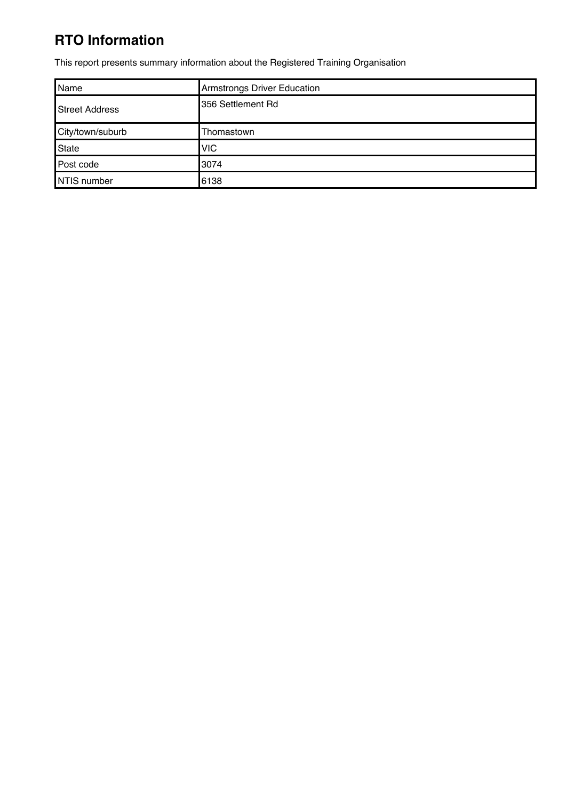## **RTO Information**

This report presents summary information about the Registered Training Organisation

| Name             | <b>Armstrongs Driver Education</b> |
|------------------|------------------------------------|
| Street Address   | 356 Settlement Rd                  |
| City/town/suburb | Thomastown                         |
| State            | <b>VIC</b>                         |
| Post code        | 3074                               |
| NTIS number      | 6138                               |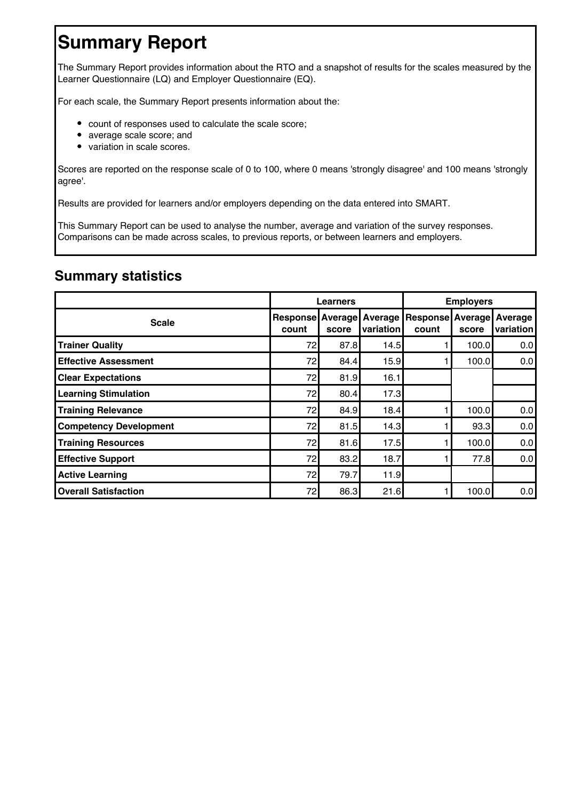# **Summary Report**

The Summary Report provides information about the RTO and a snapshot of results for the scales measured by the Learner Questionnaire (LQ) and Employer Questionnaire (EQ).

For each scale, the Summary Report presents information about the:

- count of responses used to calculate the scale score;
- average scale score; and
- variation in scale scores.

Scores are reported on the response scale of 0 to 100, where 0 means 'strongly disagree' and 100 means 'strongly agree'.

Results are provided for learners and/or employers depending on the data entered into SMART.

This Summary Report can be used to analyse the number, average and variation of the survey responses. Comparisons can be made across scales, to previous reports, or between learners and employers.

#### **Summary statistics**

|                               |                           | Learners |                      | <b>Employers</b>         |                         |                             |
|-------------------------------|---------------------------|----------|----------------------|--------------------------|-------------------------|-----------------------------|
| <b>Scale</b>                  | Response Average<br>count | score    | Average<br>variation | <b>Response</b><br>count | <b>Average</b><br>score | <b>Average</b><br>variation |
| <b>Trainer Quality</b>        | 72                        | 87.8     | 14.5                 |                          | 100.0                   | 0.0                         |
| <b>Effective Assessment</b>   | 72                        | 84.4     | 15.9                 |                          | 100.0                   | 0.0                         |
| <b>Clear Expectations</b>     | 72                        | 81.9     | 16.1                 |                          |                         |                             |
| <b>Learning Stimulation</b>   | 72                        | 80.4     | 17.3                 |                          |                         |                             |
| <b>Training Relevance</b>     | 72                        | 84.9     | 18.4                 |                          | 100.0                   | 0.0                         |
| <b>Competency Development</b> | 72                        | 81.5     | 14.3                 |                          | 93.3                    | 0.0                         |
| <b>Training Resources</b>     | 72                        | 81.6     | 17.5                 |                          | 100.0                   | 0.0                         |
| <b>Effective Support</b>      | 72                        | 83.2     | 18.7                 |                          | 77.8                    | 0.0                         |
| <b>Active Learning</b>        | 72                        | 79.7     | 11.9                 |                          |                         |                             |
| <b>Overall Satisfaction</b>   | 72                        | 86.3     | 21.6                 |                          | 100.0                   | 0.0                         |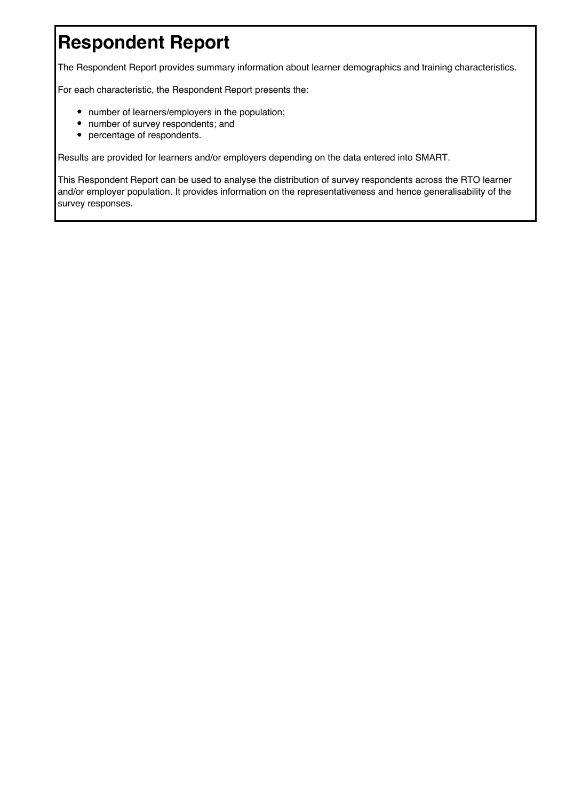# **Respondent Report**

The Respondent Report provides summary information about learner demographics and training characteristics.

For each characteristic, the Respondent Report presents the:

- number of learners/employers in the population;
- number of survey respondents; and
- percentage of respondents.

Results are provided for learners and/or employers depending on the data entered into SMART.

This Respondent Report can be used to analyse the distribution of survey respondents across the RTO learner and/or employer population. It provides information on the representativeness and hence generalisability of the survey responses.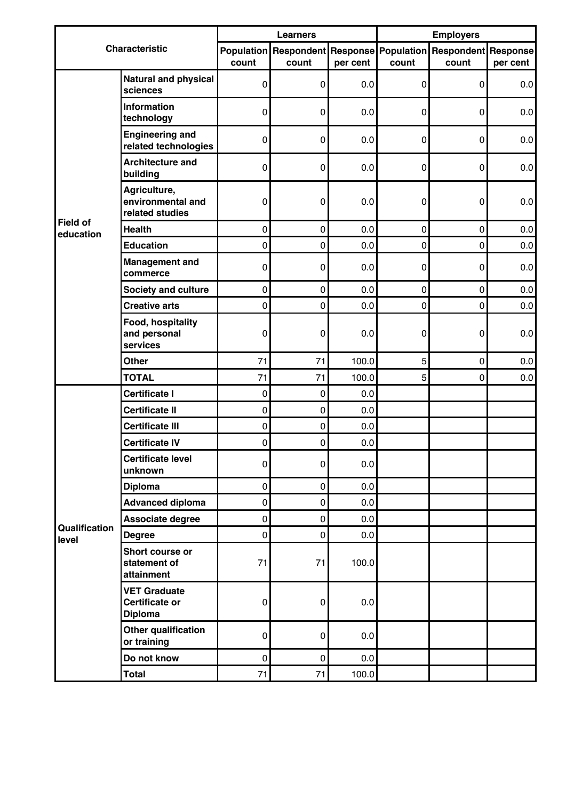|                        |                                                                |           | <b>Learners</b>              |          | <b>Employers</b>           |            |          |  |  |
|------------------------|----------------------------------------------------------------|-----------|------------------------------|----------|----------------------------|------------|----------|--|--|
|                        | <b>Characteristic</b>                                          |           | <b>Population Respondent</b> |          | <b>Response Population</b> | Respondent | Response |  |  |
|                        |                                                                | count     | count                        | per cent | count                      | count      | per cent |  |  |
|                        | <b>Natural and physical</b><br>sciences                        | 0         | $\pmb{0}$                    | 0.0      | $\pmb{0}$                  | 0          | 0.0      |  |  |
|                        | <b>Information</b><br>technology                               | 0         | 0                            | 0.0      | 0                          | 0          | 0.0      |  |  |
|                        | <b>Engineering and</b><br>related technologies                 | 0         | 0                            | 0.0      | 0                          | 0          | 0.0      |  |  |
|                        | <b>Architecture and</b><br>building                            | 0         | $\pmb{0}$                    | 0.0      | $\pmb{0}$                  | 0          | 0.0      |  |  |
| <b>Field of</b>        | Agriculture,<br>environmental and<br>related studies           | 0         | 0                            | 0.0      | 0                          | 0          | 0.0      |  |  |
| education              | <b>Health</b>                                                  | 0         | 0                            | 0.0      | $\pmb{0}$                  | 0          | 0.0      |  |  |
|                        | <b>Education</b>                                               | 0         | 0                            | 0.0      | $\pmb{0}$                  | $\pmb{0}$  | 0.0      |  |  |
|                        | <b>Management and</b><br>commerce                              | 0         | 0                            | 0.0      | $\pmb{0}$                  | 0          | 0.0      |  |  |
|                        | <b>Society and culture</b>                                     | $\pmb{0}$ | $\pmb{0}$                    | 0.0      | $\mathbf 0$                | 0          | 0.0      |  |  |
|                        | <b>Creative arts</b>                                           | 0         | 0                            | 0.0      | $\pmb{0}$                  | 0          | 0.0      |  |  |
|                        | Food, hospitality<br>and personal<br>services                  | 0         | 0                            | 0.0      | 0                          | 0          | 0.0      |  |  |
|                        | <b>Other</b>                                                   | 71        | 71                           | 100.0    | 5                          | 0          | 0.0      |  |  |
|                        | <b>TOTAL</b>                                                   | 71        | 71                           | 100.0    | 5                          | 0          | 0.0      |  |  |
|                        | <b>Certificate I</b>                                           | $\pmb{0}$ | 0                            | 0.0      |                            |            |          |  |  |
|                        | <b>Certificate II</b>                                          | 0         | $\pmb{0}$                    | 0.0      |                            |            |          |  |  |
|                        | <b>Certificate III</b>                                         | $\pmb{0}$ | $\pmb{0}$                    | 0.0      |                            |            |          |  |  |
|                        | <b>Certificate IV</b>                                          | 0         | 0                            | 0.0      |                            |            |          |  |  |
|                        | <b>Certificate level</b><br>unknown                            | 0         | $\pmb{0}$                    | 0.0      |                            |            |          |  |  |
|                        | <b>Diploma</b>                                                 | $\pmb{0}$ | $\overline{0}$               | 0.0      |                            |            |          |  |  |
|                        | <b>Advanced diploma</b>                                        | 0         | 0                            | 0.0      |                            |            |          |  |  |
|                        | Associate degree                                               | $\pmb{0}$ | 0                            | 0.0      |                            |            |          |  |  |
| Qualification<br>level | <b>Degree</b>                                                  | 0         | $\pmb{0}$                    | 0.0      |                            |            |          |  |  |
|                        | Short course or<br>statement of<br>attainment                  | 71        | 71                           | 100.0    |                            |            |          |  |  |
|                        | <b>VET Graduate</b><br><b>Certificate or</b><br><b>Diploma</b> | 0         | 0                            | 0.0      |                            |            |          |  |  |
|                        | Other qualification<br>or training                             | 0         | 0                            | 0.0      |                            |            |          |  |  |
|                        | Do not know                                                    | $\pmb{0}$ | $\pmb{0}$                    | 0.0      |                            |            |          |  |  |
|                        | <b>Total</b>                                                   | 71        | 71                           | 100.0    |                            |            |          |  |  |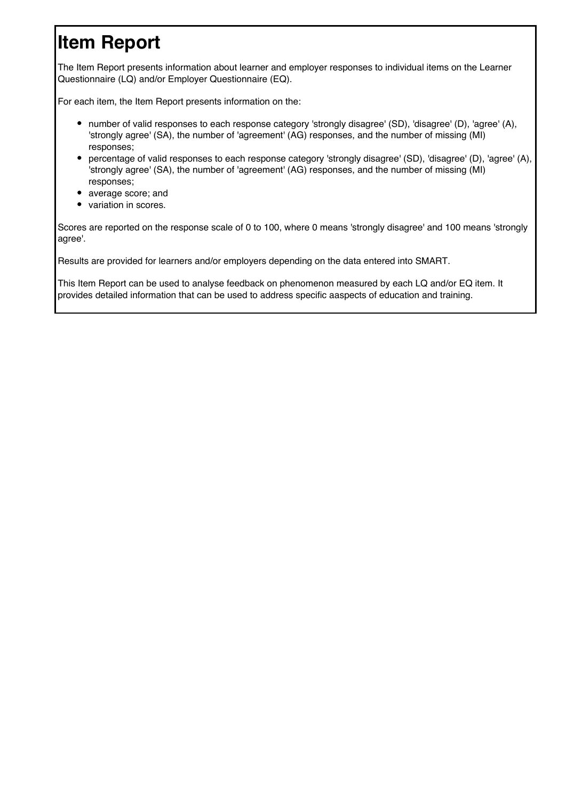# **Item Report**

The Item Report presents information about learner and employer responses to individual items on the Learner Questionnaire (LQ) and/or Employer Questionnaire (EQ).

For each item, the Item Report presents information on the:

- number of valid responses to each response category 'strongly disagree' (SD), 'disagree' (D), 'agree' (A), 'strongly agree' (SA), the number of 'agreement' (AG) responses, and the number of missing (MI) responses;
- percentage of valid responses to each response category 'strongly disagree' (SD), 'disagree' (D), 'agree' (A), 'strongly agree' (SA), the number of 'agreement' (AG) responses, and the number of missing (MI) responses;
- average score; and
- variation in scores.

Scores are reported on the response scale of 0 to 100, where 0 means 'strongly disagree' and 100 means 'strongly agree'.

Results are provided for learners and/or employers depending on the data entered into SMART.

This Item Report can be used to analyse feedback on phenomenon measured by each LQ and/or EQ item. It provides detailed information that can be used to address specific aaspects of education and training.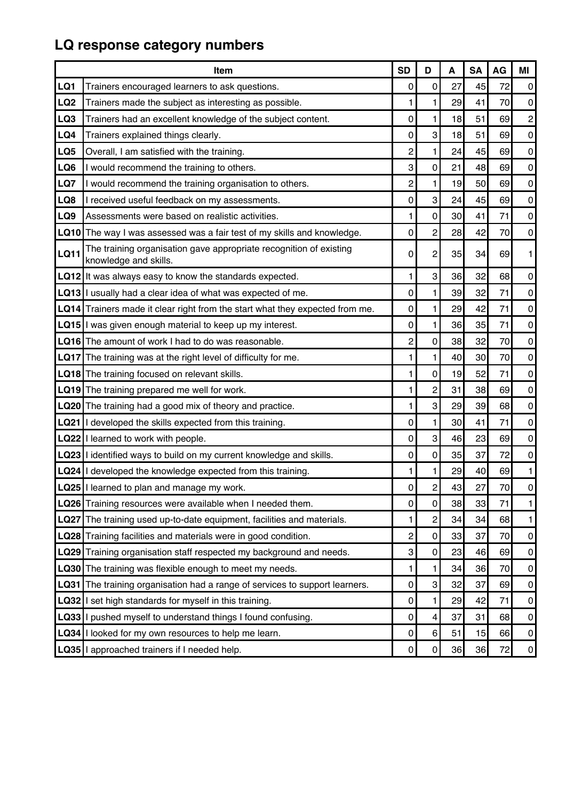# **LQ response category numbers**

|                 | <b>Item</b>                                                                                 | <b>SD</b>      | D                | A  | <b>SA</b> | AG | ΜI                          |
|-----------------|---------------------------------------------------------------------------------------------|----------------|------------------|----|-----------|----|-----------------------------|
| LQ1             | Trainers encouraged learners to ask questions.                                              | 0              | $\mathbf 0$      | 27 | 45        | 72 | $\overline{0}$              |
| LQ <sub>2</sub> | Trainers made the subject as interesting as possible.                                       | 1              | 1                | 29 | 41        | 70 | $\overline{0}$              |
| LQ3             | Trainers had an excellent knowledge of the subject content.                                 | 0              | 1                | 18 | 51        | 69 | $\mathbf{2}$                |
| LQ4             | Trainers explained things clearly.                                                          | 0              | 3                | 18 | 51        | 69 | $\mathsf{O}\hspace{0.02in}$ |
| LQ5             | Overall, I am satisfied with the training.                                                  | $\overline{c}$ | 1                | 24 | 45        | 69 | $\overline{0}$              |
| LQ6             | I would recommend the training to others.                                                   | 3              | $\mathbf 0$      | 21 | 48        | 69 | $\overline{0}$              |
| LQ7             | I would recommend the training organisation to others.                                      | $\overline{c}$ | 1                | 19 | 50        | 69 | $\overline{0}$              |
| LQ8             | I received useful feedback on my assessments.                                               | 0              | 3                | 24 | 45        | 69 | $\overline{0}$              |
| LQ9             | Assessments were based on realistic activities.                                             | 1              | $\Omega$         | 30 | 41        | 71 | $\overline{0}$              |
| LQ10            | The way I was assessed was a fair test of my skills and knowledge.                          | 0              | $\overline{c}$   | 28 | 42        | 70 | $\overline{0}$              |
| <b>LQ11</b>     | The training organisation gave appropriate recognition of existing<br>knowledge and skills. | 0              | $\overline{c}$   | 35 | 34        | 69 | 1                           |
|                 | $LQ12$ It was always easy to know the standards expected.                                   | 1              | 3                | 36 | 32        | 68 | $\overline{0}$              |
|                 | LQ13 I usually had a clear idea of what was expected of me.                                 | 0              | 1                | 39 | 32        | 71 | $\overline{0}$              |
|                 | LQ14 Trainers made it clear right from the start what they expected from me.                | 0              | 1                | 29 | 42        | 71 | $\overline{0}$              |
|                 | <b>LQ15</b> I was given enough material to keep up my interest.                             | 0              | 1                | 36 | 35        | 71 | $\overline{0}$              |
|                 | <b>LQ16</b> The amount of work I had to do was reasonable.                                  | 2              | $\Omega$         | 38 | 32        | 70 | $\overline{0}$              |
| <b>LQ17</b>     | The training was at the right level of difficulty for me.                                   | 1              | 1                | 40 | 30        | 70 | $\overline{0}$              |
|                 | LQ18 The training focused on relevant skills.                                               | 1              | $\mathbf 0$      | 19 | 52        | 71 | $\overline{0}$              |
|                 | LQ19 The training prepared me well for work.                                                | 1              | $\overline{c}$   | 31 | 38        | 69 | $\mathbf{0}$                |
|                 | LQ20 The training had a good mix of theory and practice.                                    | 1              | 3                | 29 | 39        | 68 | $\mathbf{0}$                |
|                 | LQ21  I developed the skills expected from this training.                                   | 0              | 1.               | 30 | 41        | 71 | $\overline{0}$              |
|                 | LQ22 I learned to work with people.                                                         | 0              | 3                | 46 | 23        | 69 | $\mathbf{0}$                |
|                 | LQ23 I identified ways to build on my current knowledge and skills.                         | 0              | $\Omega$         | 35 | 37        | 72 | $\pmb{0}$                   |
|                 | LQ24 I developed the knowledge expected from this training.                                 | 1              | 1                | 29 | 40        | 69 | 1                           |
|                 | LQ25   learned to plan and manage my work.                                                  | 0              | $\overline{c}$   | 43 | 27        | 70 | $\pmb{0}$                   |
|                 | LQ26 Training resources were available when I needed them.                                  | 0              | 0                | 38 | 33        | 71 | 1                           |
|                 | LQ27 The training used up-to-date equipment, facilities and materials.                      | 1              | $\overline{c}$   | 34 | 34        | 68 | 1                           |
|                 | <b>LQ28</b> Training facilities and materials were in good condition.                       | 2              | 0                | 33 | 37        | 70 | $\mathbf{0}$                |
|                 | LQ29 Training organisation staff respected my background and needs.                         | 3              | 0                | 23 | 46        | 69 | $\mathbf{0}$                |
| <b>LQ30</b>     | The training was flexible enough to meet my needs.                                          | 1              | 1.               | 34 | 36        | 70 | $\overline{0}$              |
| LQ31            | The training organisation had a range of services to support learners.                      | 0              | 3                | 32 | 37        | 69 | $\mathbf{0}$                |
|                 | <b>LQ32</b> I set high standards for myself in this training.                               | 0              | 1                | 29 | 42        | 71 | $\overline{0}$              |
| LQ33            | I pushed myself to understand things I found confusing.                                     | 0              | $\overline{4}$   | 37 | 31        | 68 | $\mathbf{0}$                |
|                 | <b>LQ34</b> I looked for my own resources to help me learn.                                 | 0              | $6 \overline{6}$ | 51 | 15        | 66 | $\overline{0}$              |
|                 | LQ35 I approached trainers if I needed help.                                                | 0              | $\overline{0}$   | 36 | 36        | 72 | $\vert 0 \vert$             |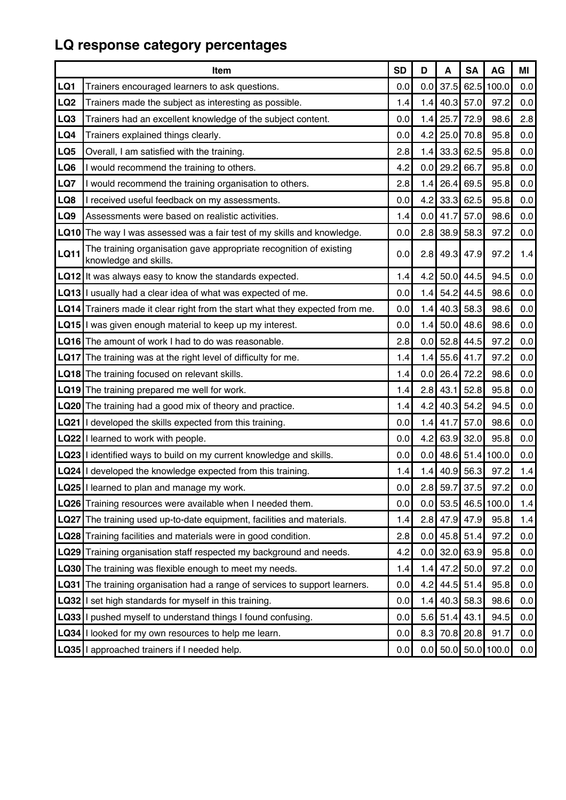# **LQ response category percentages**

|                 | Item                                                                                        | <b>SD</b> | D     | A               | <b>SA</b>   | <b>AG</b>         | ΜI      |
|-----------------|---------------------------------------------------------------------------------------------|-----------|-------|-----------------|-------------|-------------------|---------|
| LQ1             | Trainers encouraged learners to ask questions.                                              | 0.0       | 0.0   | 37.5            | 62.5        | 100.0             | $0.0\,$ |
| LQ <sub>2</sub> | Trainers made the subject as interesting as possible.                                       | 1.4       | 1.4   |                 | $40.3$ 57.0 | 97.2              | 0.0     |
| LQ3             | Trainers had an excellent knowledge of the subject content.                                 | 0.0       | 1.4   | 25.7            | 72.9        | 98.6              | 2.8     |
| LQ4             | Trainers explained things clearly.                                                          | 0.0       | 4.2   | 25.0            | 70.8        | 95.8              | 0.0     |
| LQ5             | Overall, I am satisfied with the training.                                                  | 2.8       | 1.4   |                 | $33.3$ 62.5 | 95.8              | $0.0\,$ |
| LQ6             | I would recommend the training to others.                                                   | 4.2       | 0.0   | 29.2            | 66.7        | 95.8              | 0.0     |
| LQ7             | I would recommend the training organisation to others.                                      | 2.8       | 1.4   | 26.4            | 69.5        | 95.8              | 0.0     |
| LQ8             | received useful feedback on my assessments.                                                 | 0.0       | 4.2   | 33.3            | 62.5        | 95.8              | 0.0     |
| LQ9             | Assessments were based on realistic activities.                                             | 1.4       | 0.0   | 41.7            | 57.0        | 98.6              | 0.0     |
|                 | LQ10 The way I was assessed was a fair test of my skills and knowledge.                     | 0.0       | 2.8   | 38.9            | 58.3        | 97.2              | 0.0     |
| <b>LQ11</b>     | The training organisation gave appropriate recognition of existing<br>knowledge and skills. | 0.0       | 2.8   |                 | 49.3 47.9   | 97.2              | 1.4     |
|                 | LQ12 It was always easy to know the standards expected.                                     | 1.4       | 4.2   | 50.0            | 44.5        | 94.5              | 0.0     |
|                 | LQ13 I usually had a clear idea of what was expected of me.                                 | 0.0       | 1.4   | 54.2            | 44.5        | 98.6              | 0.0     |
|                 | LQ14 Trainers made it clear right from the start what they expected from me.                | 0.0       | 1.4   | 40.3            | 58.3        | 98.6              | 0.0     |
|                 | LQ15 I was given enough material to keep up my interest.                                    | 0.0       | 1.4   | 50.0            | 48.6        | 98.6              | 0.0     |
|                 | LQ16 The amount of work I had to do was reasonable.                                         | 2.8       | 0.0   | 52.8            | 44.5        | 97.2              | 0.0     |
| <b>LQ17</b>     | The training was at the right level of difficulty for me.                                   | 1.4       | $1.4$ | 55.6            | 41.7        | 97.2              | 0.0     |
|                 | LQ18 The training focused on relevant skills.                                               | 1.4       | 0.0   | 26.4            | 72.2        | 98.6              | $0.0\,$ |
|                 | LQ19 The training prepared me well for work.                                                | 1.4       | 2.8   | 43.1            | 52.8        | 95.8              | 0.0     |
|                 | LQ20 The training had a good mix of theory and practice.                                    | 1.4       | 4.2   | 40.3            | 54.2        | 94.5              | 0.0     |
|                 | LQ21 I developed the skills expected from this training.                                    | 0.0       | 1.4   | 41.7            | 57.0        | 98.6              | 0.0     |
|                 | LQ22 I learned to work with people.                                                         | 0.0       | 4.2   | 63.9            | 32.0        | 95.8              | 0.0     |
|                 | LQ23 I identified ways to build on my current knowledge and skills.                         | 0.0       | 0.0   | 48.6            | 51.4        | 100.0             | 0.0     |
|                 | LQ24 I developed the knowledge expected from this training.                                 | 1.4       | 1.4   | 40.9            | 56.3        | 97.2              | 1.4     |
|                 | LQ25   learned to plan and manage my work.                                                  | 0.0       |       | $2.8$ 59.7 37.5 |             | 97.2              | 0.0     |
|                 | LQ26 Training resources were available when I needed them.                                  | 0.0       | 0.0   | 53.5            |             | 46.5 100.0        | 1.4     |
|                 | LQ27 The training used up-to-date equipment, facilities and materials.                      | 1.4       | 2.8   | 47.9            | 47.9        | 95.8              | 1.4     |
|                 | <b>LQ28</b> Training facilities and materials were in good condition.                       | 2.8       | 0.0   |                 | $45.8$ 51.4 | 97.2              | 0.0     |
|                 | LQ29 Training organisation staff respected my background and needs.                         | 4.2       | 0.0   |                 | $32.0$ 63.9 | 95.8              | 0.0     |
|                 | <b>LQ30</b> The training was flexible enough to meet my needs.                              | 1.4       | 1.4   | 47.2            | 50.0        | 97.2              | 0.0     |
| <b>LQ31</b>     | The training organisation had a range of services to support learners.                      | 0.0       | 4.2   | 44.5            | 51.4        | 95.8              | 0.0     |
| LQ32            | I set high standards for myself in this training.                                           | 0.0       | 1.4   |                 | $40.3$ 58.3 | 98.6              | 0.0     |
| LQ33            | I pushed myself to understand things I found confusing.                                     | 0.0       | 5.6   | 51.4            | 43.1        | 94.5              | 0.0     |
| LQ34            | I looked for my own resources to help me learn.                                             | 0.0       | 8.3   |                 | 70.8 20.8   | 91.7              | 0.0     |
|                 | LQ35 I approached trainers if I needed help.                                                | 0.0       | 0.0   |                 |             | $50.0$ 50.0 100.0 | 0.0     |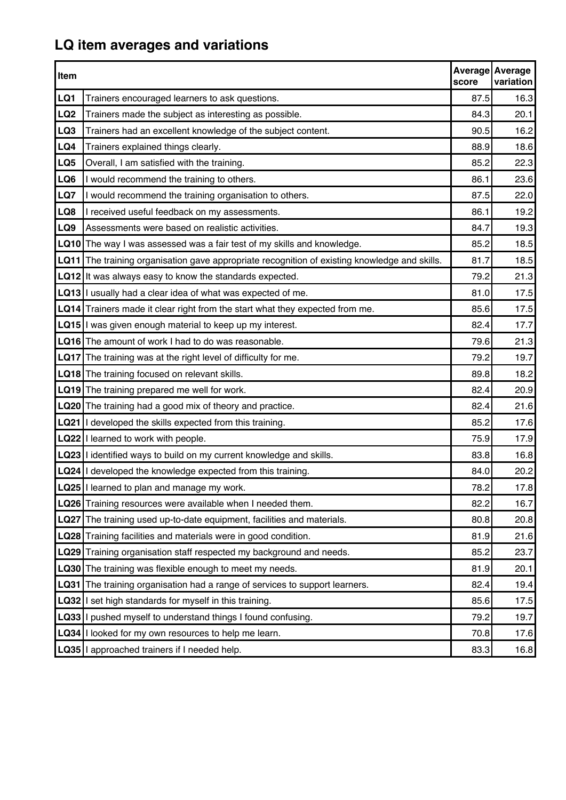# **LQ item averages and variations**

| Item            |                                                                                          | score | Average Average<br>variation |
|-----------------|------------------------------------------------------------------------------------------|-------|------------------------------|
| LQ1             | Trainers encouraged learners to ask questions.                                           | 87.5  | 16.3                         |
| LQ <sub>2</sub> | Trainers made the subject as interesting as possible.                                    | 84.3  | 20.1                         |
| LQ3             | Trainers had an excellent knowledge of the subject content.                              | 90.5  | 16.2                         |
| LQ4             | Trainers explained things clearly.                                                       | 88.9  | 18.6                         |
| LQ5             | Overall, I am satisfied with the training.                                               | 85.2  | 22.3                         |
| LQ6             | I would recommend the training to others.                                                | 86.1  | 23.6                         |
| LQ7             | I would recommend the training organisation to others.                                   | 87.5  | 22.0                         |
| LQ8             | I received useful feedback on my assessments.                                            | 86.1  | 19.2                         |
| LQ9             | Assessments were based on realistic activities.                                          | 84.7  | 19.3                         |
| LQ10            | The way I was assessed was a fair test of my skills and knowledge.                       | 85.2  | 18.5                         |
| <b>LQ11</b>     | The training organisation gave appropriate recognition of existing knowledge and skills. | 81.7  | 18.5                         |
|                 | LQ12 It was always easy to know the standards expected.                                  | 79.2  | 21.3                         |
|                 | LQ13 I usually had a clear idea of what was expected of me.                              | 81.0  | 17.5                         |
|                 | LQ14 Trainers made it clear right from the start what they expected from me.             | 85.6  | 17.5                         |
|                 | LQ15 I was given enough material to keep up my interest.                                 | 82.4  | 17.7                         |
|                 | <b>LQ16</b> The amount of work I had to do was reasonable.                               | 79.6  | 21.3                         |
|                 | LQ17 The training was at the right level of difficulty for me.                           | 79.2  | 19.7                         |
|                 | LQ18 The training focused on relevant skills.                                            | 89.8  | 18.2                         |
|                 | LQ19 The training prepared me well for work.                                             | 82.4  | 20.9                         |
|                 | <b>LQ20</b> The training had a good mix of theory and practice.                          | 82.4  | 21.6                         |
|                 | LQ21 I developed the skills expected from this training.                                 | 85.2  | 17.6                         |
|                 | LQ22 I learned to work with people.                                                      | 75.9  | 17.9                         |
|                 | LQ23 I identified ways to build on my current knowledge and skills.                      | 83.8  | 16.8                         |
|                 | LQ24 I developed the knowledge expected from this training.                              | 84.0  | 20.2                         |
|                 | LQ25 I learned to plan and manage my work.                                               | 78.2  | 17.8                         |
|                 | LQ26 Training resources were available when I needed them.                               | 82.2  | 16.7                         |
|                 | LQ27 The training used up-to-date equipment, facilities and materials.                   | 80.8  | 20.8                         |
|                 | <b>LQ28</b> Training facilities and materials were in good condition.                    | 81.9  | 21.6                         |
|                 | LQ29 Training organisation staff respected my background and needs.                      | 85.2  | 23.7                         |
|                 | <b>LQ30</b> The training was flexible enough to meet my needs.                           | 81.9  | 20.1                         |
| LQ31            | The training organisation had a range of services to support learners.                   | 82.4  | 19.4                         |
|                 | <b>LQ32</b> I set high standards for myself in this training.                            | 85.6  | 17.5                         |
|                 | LQ33 I pushed myself to understand things I found confusing.                             | 79.2  | 19.7                         |
|                 | LQ34 I looked for my own resources to help me learn.                                     | 70.8  | 17.6                         |
|                 | LQ35 I approached trainers if I needed help.                                             | 83.3  | 16.8                         |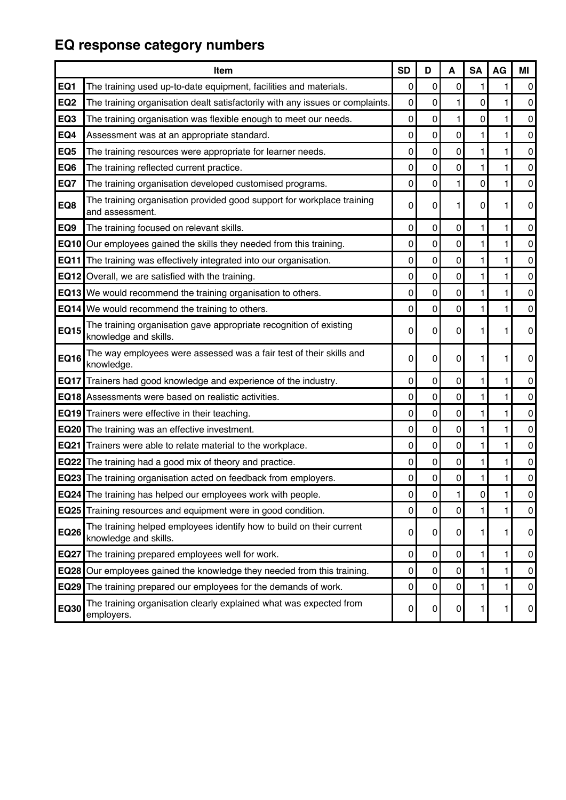# **EQ response category numbers**

|                 | <b>Item</b>                                                                                   | <b>SD</b>   | D | A           | <b>SA</b>   | AG | ΜI             |
|-----------------|-----------------------------------------------------------------------------------------------|-------------|---|-------------|-------------|----|----------------|
| EQ1             | The training used up-to-date equipment, facilities and materials.                             | 0           | 0 | 0           | 1           | 1  | 0              |
| EQ <sub>2</sub> | The training organisation dealt satisfactorily with any issues or complaints.                 | 0           | 0 | 1           | $\mathbf 0$ | 1  | $\pmb{0}$      |
| EQ3             | The training organisation was flexible enough to meet our needs.                              | 0           | 0 | 1           | 0           | 1  | 0              |
| EQ4             | Assessment was at an appropriate standard.                                                    | 0           | 0 | 0           | 1           | 1  | $\pmb{0}$      |
| EQ <sub>5</sub> | The training resources were appropriate for learner needs.                                    | $\mathbf 0$ | 0 | $\mathbf 0$ | 1           | 1  | $\overline{0}$ |
| EQ6             | The training reflected current practice.                                                      | 0           | 0 | $\mathbf 0$ | 1           | 1  | $\overline{0}$ |
| EQ7             | The training organisation developed customised programs.                                      | 0           | 0 | 1           | $\mathbf 0$ | 1  | $\pmb{0}$      |
| EQ8             | The training organisation provided good support for workplace training<br>and assessment.     | 0           | 0 | 1           | 0           | 1. | $\overline{0}$ |
| EQ9             | The training focused on relevant skills.                                                      | $\mathbf 0$ | 0 | 0           | 1           | 1  | $\overline{0}$ |
| <b>EQ10</b>     | Our employees gained the skills they needed from this training.                               | 0           | 0 | 0           | 1           | 1  | $\pmb{0}$      |
| <b>EQ11</b>     | The training was effectively integrated into our organisation.                                | 0           | 0 | 0           | 1           | 1  | $\pmb{0}$      |
| <b>EQ12</b>     | Overall, we are satisfied with the training.                                                  | $\mathbf 0$ | 0 | $\mathbf 0$ | 1           | 1  | $\overline{0}$ |
| EQ13            | We would recommend the training organisation to others.                                       | 0           | 0 | 0           | 1           | 1  | $\pmb{0}$      |
| EQ14            | We would recommend the training to others.                                                    | 0           | 0 | 0           | 1           | 1  | $\pmb{0}$      |
| <b>EQ15</b>     | The training organisation gave appropriate recognition of existing<br>knowledge and skills.   | 0           | 0 | 0           | 1           | 1. | $\overline{0}$ |
| <b>EQ16</b>     | The way employees were assessed was a fair test of their skills and<br>knowledge.             | 0           | 0 | 0           | 1           | 1  | 0              |
| <b>EQ17</b>     | Trainers had good knowledge and experience of the industry.                                   | 0           | 0 | 0           | 1           | 1  | 0              |
|                 | <b>EQ18</b> Assessments were based on realistic activities.                                   | 0           | 0 | $\mathbf 0$ | 1           | 1  | $\pmb{0}$      |
|                 | <b>EQ19</b> Trainers were effective in their teaching.                                        | $\mathbf 0$ | 0 | 0           | 1           | 1  | $\pmb{0}$      |
| <b>EQ20</b>     | The training was an effective investment.                                                     | 0           | 0 | 0           | 1           | 1  | $\pmb{0}$      |
| EQ21            | Trainers were able to relate material to the workplace.                                       | 0           | 0 | 0           | 1           | 1  | $\pmb{0}$      |
|                 | <b>EQ22</b> The training had a good mix of theory and practice.                               | 0           | 0 | 0           | 1           | 1  | 0              |
|                 | <b>EQ23</b> The training organisation acted on feedback from employers.                       | 0           | 0 | 0           | 1           | 1  | 0              |
|                 | <b>EQ24</b> The training has helped our employees work with people.                           | 0           | 0 | 1           | 0           | 1  | $\overline{0}$ |
|                 | <b>EQ25</b> Training resources and equipment were in good condition.                          | 0           | 0 | 0           | 1           | 1  | 0              |
| <b>EQ26</b>     | The training helped employees identify how to build on their current<br>knowledge and skills. | 0           | 0 | 0           | 1           | 1. | $\overline{0}$ |
| <b>EQ27</b>     | The training prepared employees well for work.                                                | 0           | 0 | 0           | 1           | 1  | $\overline{0}$ |
| <b>EQ28</b>     | Our employees gained the knowledge they needed from this training.                            | 0           | 0 | $\mathbf 0$ | 1           | 1  | 0              |
| <b>EQ29</b>     | The training prepared our employees for the demands of work.                                  | 0           | 0 | 0           | 1           | 1  | $\overline{0}$ |
| <b>EQ30</b>     | The training organisation clearly explained what was expected from<br>employers.              | 0           | 0 | 0           | 1           | 1  | $\mathbf{0}$   |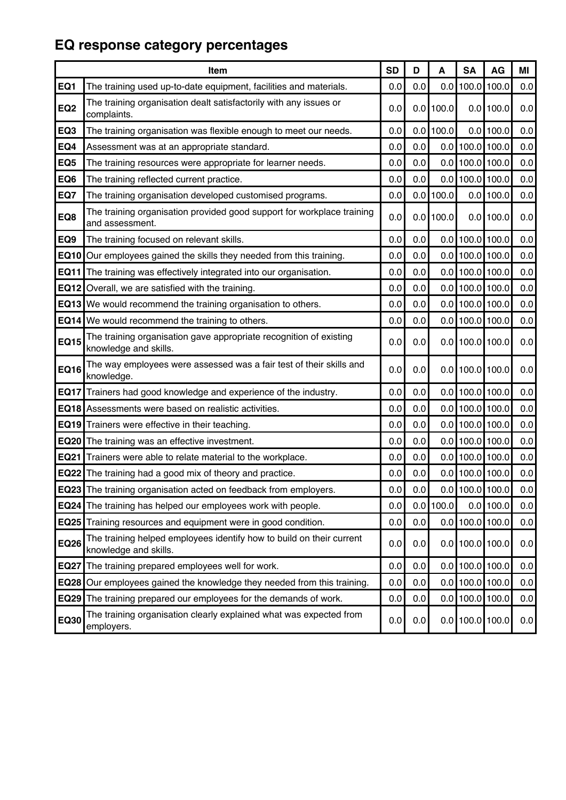# **EQ response category percentages**

|                 | Item                                                                                          | <b>SD</b> | D                | A           | <b>SA</b>             | AG          | ΜI      |
|-----------------|-----------------------------------------------------------------------------------------------|-----------|------------------|-------------|-----------------------|-------------|---------|
| EQ1             | The training used up-to-date equipment, facilities and materials.                             | 0.0       | 0.0              |             | $0.0$ 100.0           | 100.0       | 0.0     |
| EQ <sub>2</sub> | The training organisation dealt satisfactorily with any issues or<br>complaints.              | 0.0       |                  | $0.0$ 100.0 | 0.0                   | 100.0       | 0.0     |
| EQ <sub>3</sub> | The training organisation was flexible enough to meet our needs.                              | 0.0       | 0.0 <sub>1</sub> | 100.0       |                       | $0.0$ 100.0 | 0.0     |
| EQ4             | Assessment was at an appropriate standard.                                                    | 0.0       | 0.0              |             | $0.0$ 100.0 100.0     |             | 0.0     |
| EQ <sub>5</sub> | The training resources were appropriate for learner needs.                                    | 0.0       | 0.0              |             | $0.0$ 100.0 100.0     |             | $0.0\,$ |
| EQ6             | The training reflected current practice.                                                      | 0.0       | 0.0              |             | $0.0$ 100.0 100.0     |             | 0.0     |
| EQ7             | The training organisation developed customised programs.                                      | 0.0       | 0.0              | 100.0       | 0.0                   | 100.0       | $0.0\,$ |
| EQ8             | The training organisation provided good support for workplace training<br>and assessment.     | 0.0       | 0.0              | 100.0       |                       | $0.0$ 100.0 | $0.0\,$ |
| EQ9             | The training focused on relevant skills.                                                      | 0.0       | 0.0              |             | $0.0$  100.0 100.0    |             | 0.0     |
| EQ10            | Our employees gained the skills they needed from this training.                               | 0.0       | 0.0              |             | $0.0$  100.0 100.0    |             | 0.0     |
| EQ11            | The training was effectively integrated into our organisation.                                | 0.0       | 0.0              |             | $0.0$ 100.0 100.0     |             | $0.0\,$ |
|                 | <b>EQ12</b> Overall, we are satisfied with the training.                                      | 0.0       | 0.0              |             | $0.0$ 100.0 100.0     |             | $0.0\,$ |
| EQ13            | We would recommend the training organisation to others.                                       | 0.0       | 0.0              |             | $0.0$ 100.0 100.0     |             | 0.0     |
| <b>EQ14</b>     | We would recommend the training to others.                                                    | 0.0       | 0.0              |             | $0.0$ 100.0 100.0     |             | $0.0\,$ |
| <b>EQ15</b>     | The training organisation gave appropriate recognition of existing<br>knowledge and skills.   | 0.0       | 0.0              |             | $0.0$  100.0 100.0    |             | 0.0     |
| <b>EQ16</b>     | The way employees were assessed was a fair test of their skills and<br>knowledge.             | 0.0       | 0.0              |             | $0.0$  100.0 100.0    |             | $0.0\,$ |
| <b>EQ17</b>     | Trainers had good knowledge and experience of the industry.                                   | 0.0       | 0.0              |             | $0.0$  100.0 100.0    |             | 0.0     |
|                 | <b>EQ18</b> Assessments were based on realistic activities.                                   | 0.0       | 0.0              |             | $0.0$ 100.0 100.0     |             | $0.0\,$ |
|                 | <b>EQ19</b> Trainers were effective in their teaching.                                        | 0.0       | 0.0              |             | $0.0$ 100.0 100.0     |             | $0.0\,$ |
| <b>EQ20</b>     | The training was an effective investment.                                                     | 0.0       | 0.0              |             | $0.0$ 100.0 100.0     |             | 0.0     |
|                 | <b>EQ21</b> Trainers were able to relate material to the workplace.                           | 0.0       | 0.0              |             | $0.0$ 100.0 100.0     |             | $0.0\,$ |
|                 | <b>EQ22</b> The training had a good mix of theory and practice.                               | 0.0       | 0.0              |             | $0.0$  100.0 100.0    |             | $0.0\,$ |
|                 | EQ23 The training organisation acted on feedback from employers.                              | 0.0       | 0.0              |             | $0.0$ 100.0 100.0     |             | 0.0     |
|                 | <b>EQ24</b> The training has helped our employees work with people.                           | 0.0       | 0.0              | 100.0       |                       | $0.0$ 100.0 | 0.0     |
|                 | <b>EQ25</b> Training resources and equipment were in good condition.                          | 0.0       | 0.0              |             | $0.0$   100.0   100.0 |             | $0.0\,$ |
| <b>EQ26</b>     | The training helped employees identify how to build on their current<br>knowledge and skills. | 0.0       | 0.0              |             | $0.0$  100.0 100.0    |             | $0.0\,$ |
| <b>EQ27</b>     | The training prepared employees well for work.                                                | 0.0       | 0.0              |             | $0.0$ 100.0 100.0     |             | 0.0     |
| <b>EQ28</b>     | Our employees gained the knowledge they needed from this training.                            | 0.0       | 0.0              |             | $0.0$ 100.0 100.0     |             | $0.0\,$ |
|                 | <b>EQ29</b> The training prepared our employees for the demands of work.                      | 0.0       | 0.0              |             | $0.0$  100.0 100.0    |             | 0.0     |
| EQ30            | The training organisation clearly explained what was expected from<br>employers.              | 0.0       | 0.0              |             | $0.0$  100.0 100.0    |             | 0.0     |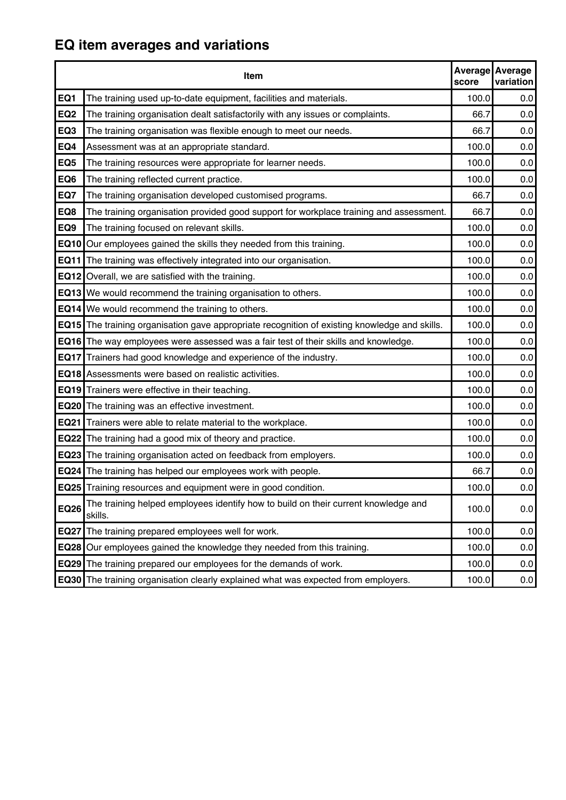# **EQ item averages and variations**

|                 | Item                                                                                          | score | Average Average<br>variation |
|-----------------|-----------------------------------------------------------------------------------------------|-------|------------------------------|
| EQ1             | The training used up-to-date equipment, facilities and materials.                             | 100.0 | 0.0                          |
| EQ <sub>2</sub> | The training organisation dealt satisfactorily with any issues or complaints.                 | 66.7  | 0.0                          |
| EQ3             | The training organisation was flexible enough to meet our needs.                              | 66.7  | 0.0                          |
| EQ4             | Assessment was at an appropriate standard.                                                    | 100.0 | 0.0                          |
| EQ <sub>5</sub> | The training resources were appropriate for learner needs.                                    | 100.0 | 0.0                          |
| EQ6             | The training reflected current practice.                                                      | 100.0 | 0.0                          |
| EQ7             | The training organisation developed customised programs.                                      | 66.7  | 0.0                          |
| EQ8             | The training organisation provided good support for workplace training and assessment.        | 66.7  | 0.0                          |
| EQ9             | The training focused on relevant skills.                                                      | 100.0 | 0.0                          |
|                 | <b>EQ10</b> Our employees gained the skills they needed from this training.                   | 100.0 | 0.0                          |
| <b>EQ11</b>     | The training was effectively integrated into our organisation.                                | 100.0 | 0.0                          |
|                 | EQ12 Overall, we are satisfied with the training.                                             | 100.0 | 0.0                          |
|                 | <b>EQ13</b> We would recommend the training organisation to others.                           | 100.0 | 0.0                          |
|                 | <b>EQ14</b> We would recommend the training to others.                                        | 100.0 | 0.0                          |
|                 | EQ15 The training organisation gave appropriate recognition of existing knowledge and skills. | 100.0 | 0.0                          |
|                 | <b>EQ16</b> The way employees were assessed was a fair test of their skills and knowledge.    | 100.0 | 0.0                          |
| <b>EQ17</b>     | Trainers had good knowledge and experience of the industry.                                   | 100.0 | 0.0                          |
|                 | <b>EQ18</b> Assessments were based on realistic activities.                                   | 100.0 | 0.0                          |
|                 | <b>EQ19</b> Trainers were effective in their teaching.                                        | 100.0 | 0.0                          |
|                 | <b>EQ20</b> The training was an effective investment.                                         | 100.0 | 0.0                          |
|                 | <b>EQ21</b> Trainers were able to relate material to the workplace.                           | 100.0 | 0.0                          |
|                 | <b>EQ22</b> The training had a good mix of theory and practice.                               | 100.0 | 0.0                          |
|                 | <b>EQ23</b> The training organisation acted on feedback from employers.                       | 100.0 | 0.0                          |
|                 | <b>EQ24</b> The training has helped our employees work with people.                           | 66.7  | 0.0                          |
|                 | EQ25 Training resources and equipment were in good condition.                                 | 100.0 | $0.0\,$                      |
| <b>EQ26</b>     | The training helped employees identify how to build on their current knowledge and<br>skills. | 100.0 | 0.0                          |
| <b>EQ27</b>     | The training prepared employees well for work.                                                | 100.0 | 0.0                          |
| EQ28            | Our employees gained the knowledge they needed from this training.                            | 100.0 | 0.0                          |
| EQ29            | The training prepared our employees for the demands of work.                                  | 100.0 | 0.0                          |
|                 | <b>EQ30</b> The training organisation clearly explained what was expected from employers.     | 100.0 | 0.0                          |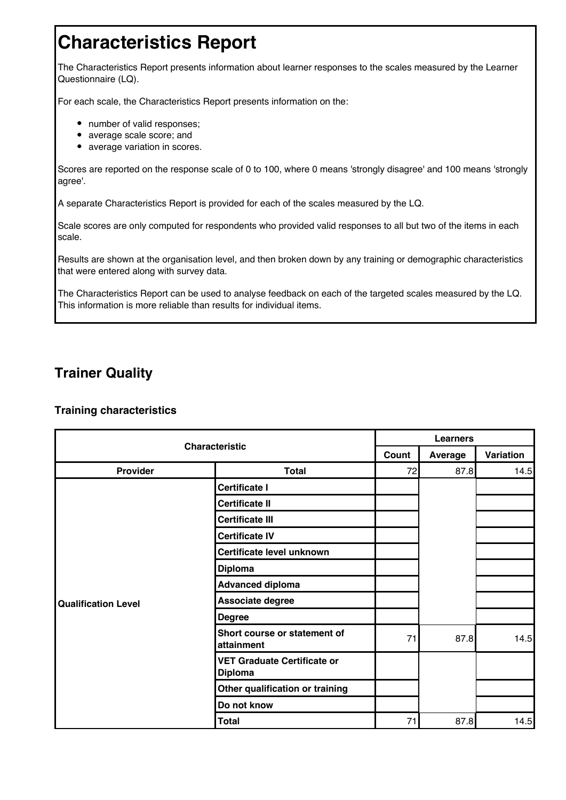# **Characteristics Report**

The Characteristics Report presents information about learner responses to the scales measured by the Learner Questionnaire (LQ).

For each scale, the Characteristics Report presents information on the:

- number of valid responses;
- average scale score; and
- average variation in scores.

Scores are reported on the response scale of 0 to 100, where 0 means 'strongly disagree' and 100 means 'strongly agree'.

A separate Characteristics Report is provided for each of the scales measured by the LQ.

Scale scores are only computed for respondents who provided valid responses to all but two of the items in each scale.

Results are shown at the organisation level, and then broken down by any training or demographic characteristics that were entered along with survey data.

The Characteristics Report can be used to analyse feedback on each of the targeted scales measured by the LQ. This information is more reliable than results for individual items.

### **Trainer Quality**

| <b>Characteristic</b>      |                                                      |       | <b>Learners</b> |           |  |  |  |  |
|----------------------------|------------------------------------------------------|-------|-----------------|-----------|--|--|--|--|
|                            |                                                      | Count | Average         | Variation |  |  |  |  |
| Provider                   | <b>Total</b>                                         | 72    | 87.8            | 14.5      |  |  |  |  |
|                            | <b>Certificate I</b>                                 |       |                 |           |  |  |  |  |
|                            | <b>Certificate II</b>                                |       |                 |           |  |  |  |  |
|                            | <b>Certificate III</b>                               |       |                 |           |  |  |  |  |
|                            | <b>Certificate IV</b>                                |       |                 |           |  |  |  |  |
|                            | Certificate level unknown                            |       |                 |           |  |  |  |  |
|                            | <b>Diploma</b>                                       |       |                 |           |  |  |  |  |
|                            | <b>Advanced diploma</b>                              |       |                 |           |  |  |  |  |
| <b>Qualification Level</b> | Associate degree                                     |       |                 |           |  |  |  |  |
|                            | <b>Degree</b>                                        |       |                 |           |  |  |  |  |
|                            | Short course or statement of<br>attainment           | 71    | 87.8            | 14.5      |  |  |  |  |
|                            | <b>VET Graduate Certificate or</b><br><b>Diploma</b> |       |                 |           |  |  |  |  |
|                            | Other qualification or training                      |       |                 |           |  |  |  |  |
|                            | Do not know                                          |       |                 |           |  |  |  |  |
|                            | <b>Total</b>                                         | 71    | 87.8            | 14.5      |  |  |  |  |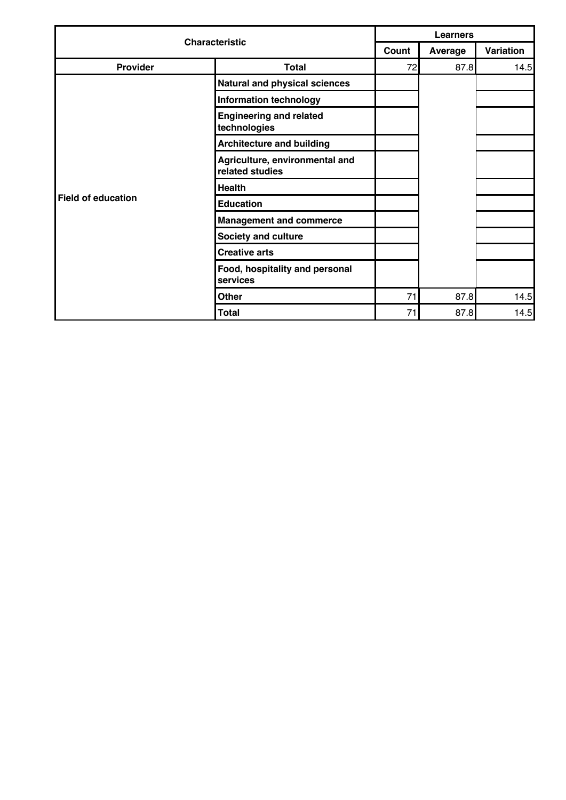|                       |                                                   |    | <b>Learners</b> |           |  |  |  |  |  |
|-----------------------|---------------------------------------------------|----|-----------------|-----------|--|--|--|--|--|
| <b>Characteristic</b> |                                                   |    | Average         | Variation |  |  |  |  |  |
| Provider              | <b>Total</b>                                      | 72 | 87.8            | 14.5      |  |  |  |  |  |
|                       | Natural and physical sciences                     |    |                 |           |  |  |  |  |  |
|                       | <b>Information technology</b>                     |    |                 |           |  |  |  |  |  |
|                       | <b>Engineering and related</b><br>technologies    |    |                 |           |  |  |  |  |  |
|                       | <b>Architecture and building</b>                  |    |                 |           |  |  |  |  |  |
|                       | Agriculture, environmental and<br>related studies |    |                 |           |  |  |  |  |  |
|                       | <b>Health</b>                                     |    |                 |           |  |  |  |  |  |
| Field of education    | <b>Education</b>                                  |    |                 |           |  |  |  |  |  |
|                       | <b>Management and commerce</b>                    |    |                 |           |  |  |  |  |  |
|                       | <b>Society and culture</b>                        |    |                 |           |  |  |  |  |  |
|                       | <b>Creative arts</b>                              |    |                 |           |  |  |  |  |  |
|                       | Food, hospitality and personal<br>services        |    |                 |           |  |  |  |  |  |
|                       | <b>Other</b>                                      | 71 | 87.8            | 14.5      |  |  |  |  |  |
|                       | <b>Total</b>                                      | 71 | 87.8            | 14.5      |  |  |  |  |  |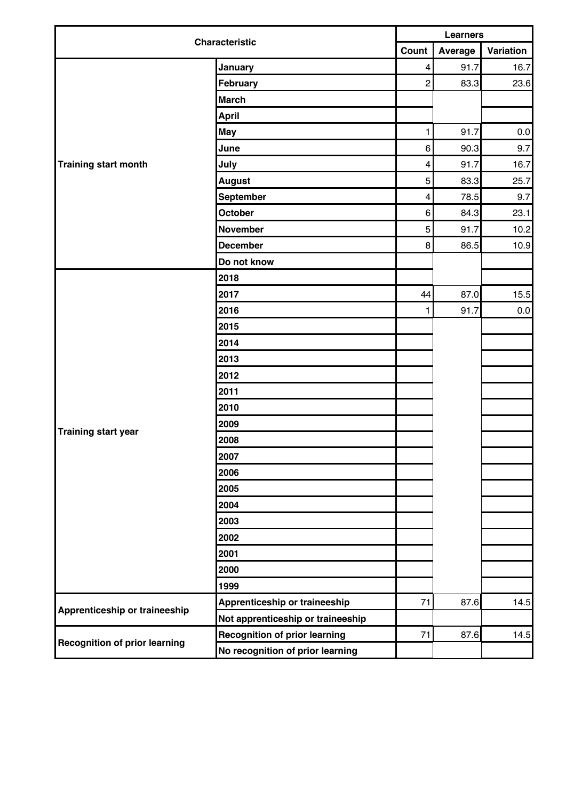| <b>Characteristic</b>                |                                      | <b>Learners</b>         |         |           |  |  |
|--------------------------------------|--------------------------------------|-------------------------|---------|-----------|--|--|
|                                      |                                      | Count                   | Average | Variation |  |  |
|                                      | January                              | $\overline{\mathbf{4}}$ | 91.7    | 16.7      |  |  |
|                                      | February                             | $\overline{c}$          | 83.3    | 23.6      |  |  |
|                                      | <b>March</b>                         |                         |         |           |  |  |
|                                      | <b>April</b>                         |                         |         |           |  |  |
|                                      | <b>May</b>                           | 1                       | 91.7    | $0.0\,$   |  |  |
|                                      | June                                 | 6                       | 90.3    | 9.7       |  |  |
| Training start month                 | July                                 | $\overline{\mathbf{4}}$ | 91.7    | 16.7      |  |  |
|                                      | <b>August</b>                        | 5                       | 83.3    | 25.7      |  |  |
|                                      | September                            | $\overline{\mathbf{4}}$ | 78.5    | 9.7       |  |  |
|                                      | October                              | 6                       | 84.3    | 23.1      |  |  |
|                                      | <b>November</b>                      | 5                       | 91.7    | 10.2      |  |  |
|                                      | <b>December</b>                      | 8                       | 86.5    | 10.9      |  |  |
|                                      | Do not know                          |                         |         |           |  |  |
|                                      | 2018                                 |                         |         |           |  |  |
|                                      | 2017                                 | 44                      | 87.0    | 15.5      |  |  |
|                                      | 2016                                 | 1                       | 91.7    | $0.0\,$   |  |  |
|                                      | 2015                                 |                         |         |           |  |  |
|                                      | 2014                                 |                         |         |           |  |  |
|                                      | 2013                                 |                         |         |           |  |  |
|                                      | 2012                                 |                         |         |           |  |  |
|                                      | 2011                                 |                         |         |           |  |  |
|                                      | 2010                                 |                         |         |           |  |  |
|                                      | 2009                                 |                         |         |           |  |  |
| <b>Training start year</b>           | 2008                                 |                         |         |           |  |  |
|                                      | 2007                                 |                         |         |           |  |  |
|                                      | 2006                                 |                         |         |           |  |  |
|                                      | 2005                                 |                         |         |           |  |  |
|                                      | 2004                                 |                         |         |           |  |  |
|                                      | 2003                                 |                         |         |           |  |  |
|                                      | 2002                                 |                         |         |           |  |  |
|                                      | 2001                                 |                         |         |           |  |  |
|                                      | 2000                                 |                         |         |           |  |  |
|                                      | 1999                                 |                         |         |           |  |  |
|                                      | Apprenticeship or traineeship        | 71                      | 87.6    | 14.5      |  |  |
| Apprenticeship or traineeship        | Not apprenticeship or traineeship    |                         |         |           |  |  |
|                                      | <b>Recognition of prior learning</b> | 71                      | 87.6    | 14.5      |  |  |
| <b>Recognition of prior learning</b> | No recognition of prior learning     |                         |         |           |  |  |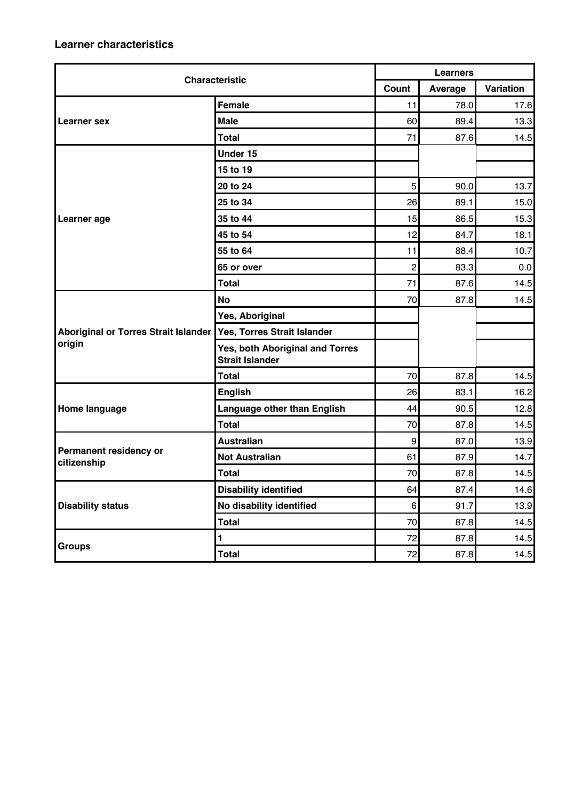| <b>Characteristic</b>                 |                                                           | <b>Learners</b>  |         |           |  |
|---------------------------------------|-----------------------------------------------------------|------------------|---------|-----------|--|
|                                       |                                                           | Count            | Average | Variation |  |
|                                       | Female                                                    | 11               | 78.0    | 17.6      |  |
| Learner sex                           | <b>Male</b>                                               | 60               | 89.4    | 13.3      |  |
|                                       | <b>Total</b>                                              | 71               | 87.6    | 14.5      |  |
|                                       | Under 15                                                  |                  |         |           |  |
|                                       | 15 to 19                                                  |                  |         |           |  |
|                                       | 20 to 24                                                  | 5                | 90.0    | 13.7      |  |
|                                       | 25 to 34                                                  | 26               | 89.1    | 15.0      |  |
| Learner age                           | 35 to 44                                                  | 15               | 86.5    | 15.3      |  |
|                                       | 45 to 54                                                  | 12               | 84.7    | 18.1      |  |
|                                       | 55 to 64                                                  | 11               | 88.4    | 10.7      |  |
|                                       | 65 or over                                                | $\overline{2}$   | 83.3    | 0.0       |  |
|                                       | <b>Total</b>                                              | 71               | 87.6    | 14.5      |  |
|                                       | <b>No</b>                                                 | 70               | 87.8    | 14.5      |  |
|                                       | Yes, Aboriginal                                           |                  |         |           |  |
| Aboriginal or Torres Strait Islander  | Yes, Torres Strait Islander                               |                  |         |           |  |
| origin                                | Yes, both Aboriginal and Torres<br><b>Strait Islander</b> |                  |         |           |  |
|                                       | Total                                                     | 70               | 87.8    | 14.5      |  |
|                                       | <b>English</b>                                            | 26               | 83.1    | 16.2      |  |
| Home language                         | Language other than English                               | 44               | 90.5    | 12.8      |  |
|                                       | <b>Total</b>                                              | 70               | 87.8    | 14.5      |  |
|                                       | <b>Australian</b>                                         | $\boldsymbol{9}$ | 87.0    | 13.9      |  |
| Permanent residency or<br>citizenship | <b>Not Australian</b>                                     | 61               | 87.9    | 14.7      |  |
|                                       | <b>Total</b>                                              | 70               | 87.8    | 14.5      |  |
|                                       | <b>Disability identified</b>                              | 64               | 87.4    | 14.6      |  |
| <b>Disability status</b>              | No disability identified                                  | 6 <sup>1</sup>   | 91.7    | 13.9      |  |
|                                       | <b>Total</b>                                              | 70               | 87.8    | 14.5      |  |
|                                       | $\blacksquare$                                            | 72               | 87.8    | 14.5      |  |
| <b>Groups</b>                         | <b>Total</b>                                              | 72               | 87.8    | 14.5      |  |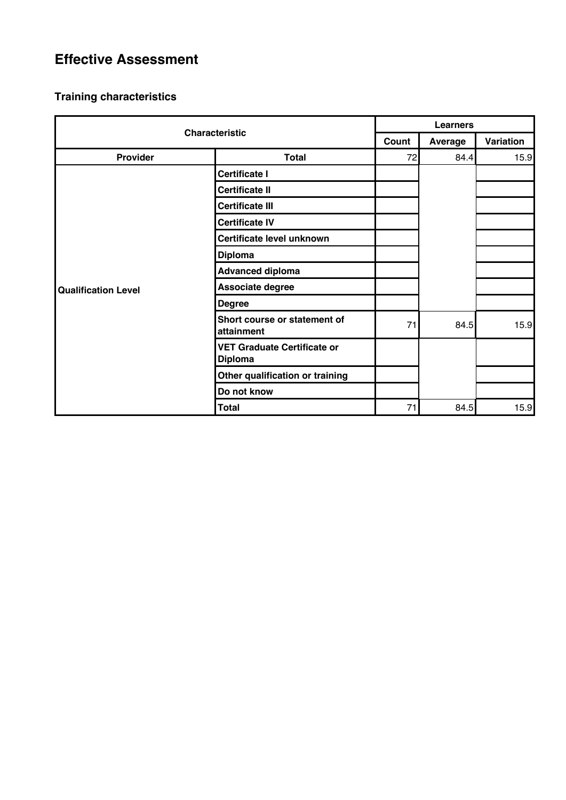### **Effective Assessment**

| <b>Characteristic</b>      |                                                      | <b>Learners</b> |         |           |  |
|----------------------------|------------------------------------------------------|-----------------|---------|-----------|--|
|                            |                                                      | Count           | Average | Variation |  |
| Provider                   | <b>Total</b>                                         | 72              | 84.4    | 15.9      |  |
|                            | <b>Certificate I</b>                                 |                 |         |           |  |
|                            | <b>Certificate II</b>                                |                 |         |           |  |
|                            | <b>Certificate III</b>                               |                 |         |           |  |
|                            | <b>Certificate IV</b>                                |                 |         |           |  |
|                            | Certificate level unknown                            |                 |         |           |  |
|                            | <b>Diploma</b>                                       |                 |         |           |  |
|                            | <b>Advanced diploma</b>                              |                 |         |           |  |
| <b>Qualification Level</b> | Associate degree                                     |                 |         |           |  |
|                            | <b>Degree</b>                                        |                 |         |           |  |
|                            | Short course or statement of<br>attainment           | 71              | 84.5    | 15.9      |  |
|                            | <b>VET Graduate Certificate or</b><br><b>Diploma</b> |                 |         |           |  |
|                            | Other qualification or training                      |                 |         |           |  |
|                            | Do not know                                          |                 |         |           |  |
|                            | <b>Total</b>                                         | 71              | 84.5    | 15.9      |  |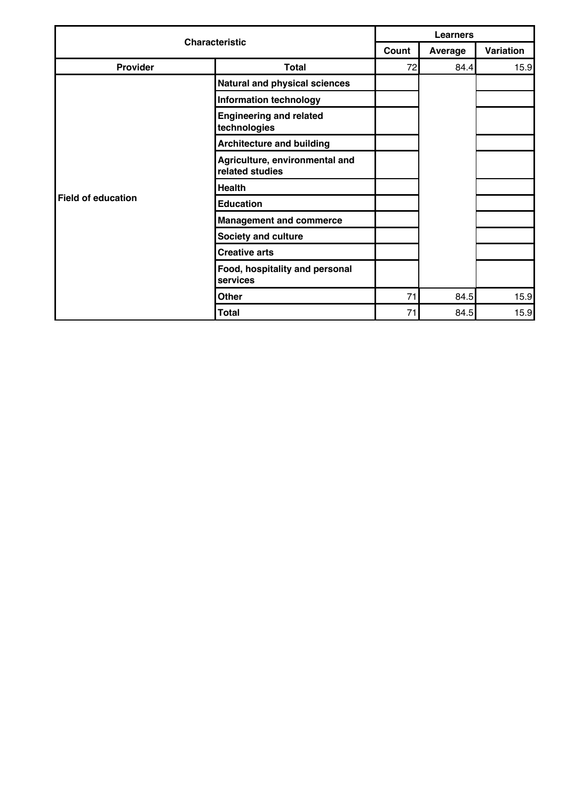| <b>Characteristic</b> |                                                   | <b>Learners</b> |         |           |  |
|-----------------------|---------------------------------------------------|-----------------|---------|-----------|--|
|                       |                                                   | Count           | Average | Variation |  |
| Provider              | <b>Total</b>                                      | 72              | 84.4    | 15.9      |  |
|                       | <b>Natural and physical sciences</b>              |                 |         |           |  |
|                       | <b>Information technology</b>                     |                 |         |           |  |
|                       | <b>Engineering and related</b><br>technologies    |                 |         |           |  |
|                       | <b>Architecture and building</b>                  |                 |         |           |  |
|                       | Agriculture, environmental and<br>related studies |                 |         |           |  |
|                       | <b>Health</b>                                     |                 |         |           |  |
| Field of education    | <b>Education</b>                                  |                 |         |           |  |
|                       | <b>Management and commerce</b>                    |                 |         |           |  |
|                       | <b>Society and culture</b>                        |                 |         |           |  |
|                       | <b>Creative arts</b>                              |                 |         |           |  |
|                       | Food, hospitality and personal<br>services        |                 |         |           |  |
|                       | <b>Other</b>                                      | 71              | 84.5    | 15.9      |  |
|                       | <b>Total</b>                                      | 71              | 84.5    | 15.9      |  |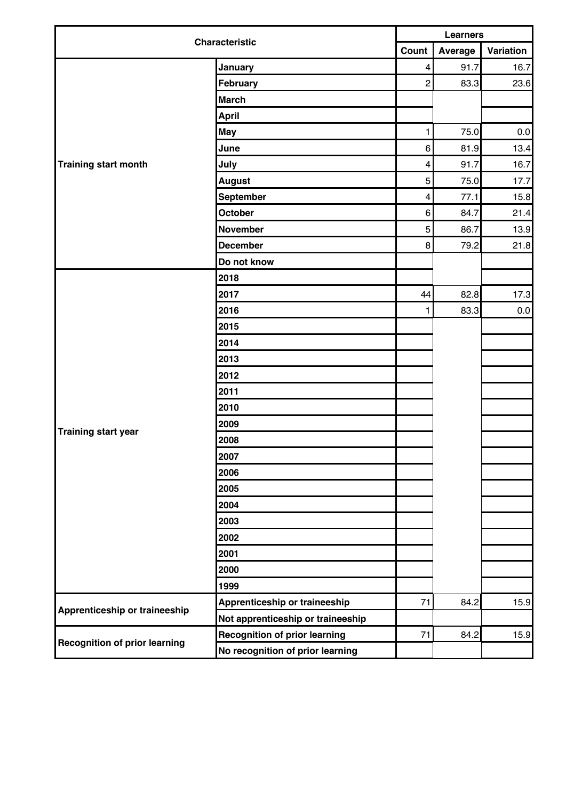| <b>Characteristic</b>                | <b>Learners</b>                      |                         |         |           |
|--------------------------------------|--------------------------------------|-------------------------|---------|-----------|
|                                      | Count                                |                         | Average | Variation |
|                                      | January                              | $\overline{\mathbf{4}}$ | 91.7    | 16.7      |
|                                      | February                             | $\overline{c}$          | 83.3    | 23.6      |
|                                      | <b>March</b>                         |                         |         |           |
|                                      | <b>April</b>                         |                         |         |           |
|                                      | <b>May</b>                           | 1                       | 75.0    | $0.0\,$   |
|                                      | June                                 | 6                       | 81.9    | 13.4      |
| Training start month                 | July                                 | $\overline{\mathbf{4}}$ | 91.7    | 16.7      |
|                                      | <b>August</b>                        | 5                       | 75.0    | 17.7      |
|                                      | September                            | $\overline{\mathbf{4}}$ | 77.1    | 15.8      |
|                                      | October                              | 6                       | 84.7    | 21.4      |
|                                      | <b>November</b>                      | 5                       | 86.7    | 13.9      |
|                                      | <b>December</b>                      | 8                       | 79.2    | 21.8      |
|                                      | Do not know                          |                         |         |           |
|                                      | 2018                                 |                         |         |           |
|                                      | 2017                                 | 44                      | 82.8    | 17.3      |
|                                      | 2016                                 | 1                       | 83.3    | $0.0\,$   |
|                                      | 2015                                 |                         |         |           |
|                                      | 2014                                 |                         |         |           |
|                                      | 2013                                 |                         |         |           |
|                                      | 2012                                 |                         |         |           |
|                                      | 2011                                 |                         |         |           |
|                                      | 2010                                 |                         |         |           |
|                                      | 2009                                 |                         |         |           |
| <b>Training start year</b>           | 2008                                 |                         |         |           |
|                                      | 2007                                 |                         |         |           |
|                                      | 2006                                 |                         |         |           |
|                                      | 2005                                 |                         |         |           |
|                                      | 2004                                 |                         |         |           |
|                                      | 2003                                 |                         |         |           |
|                                      | 2002                                 |                         |         |           |
|                                      | 2001                                 |                         |         |           |
|                                      | 2000                                 |                         |         |           |
|                                      | 1999                                 |                         |         |           |
|                                      | Apprenticeship or traineeship        | 71                      | 84.2    | 15.9      |
| Apprenticeship or traineeship        | Not apprenticeship or traineeship    |                         |         |           |
|                                      | <b>Recognition of prior learning</b> | 71                      | 84.2    | 15.9      |
| <b>Recognition of prior learning</b> | No recognition of prior learning     |                         |         |           |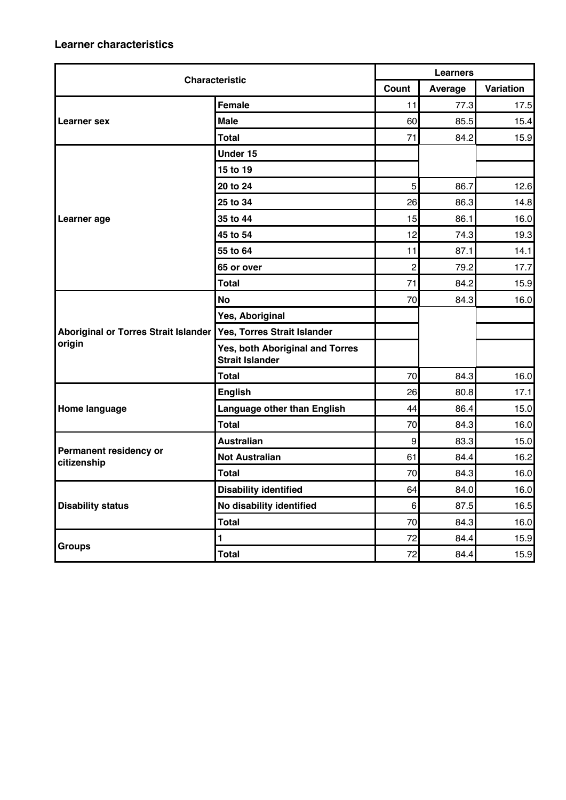| <b>Characteristic</b>                       |                                                           | <b>Learners</b>  |         |           |  |
|---------------------------------------------|-----------------------------------------------------------|------------------|---------|-----------|--|
|                                             |                                                           | Count            | Average | Variation |  |
|                                             | <b>Female</b>                                             | 11               | 77.3    | 17.5      |  |
| Learner sex                                 | <b>Male</b>                                               | 60               | 85.5    | 15.4      |  |
|                                             | <b>Total</b>                                              | 71               | 84.2    | 15.9      |  |
|                                             | Under 15                                                  |                  |         |           |  |
|                                             | 15 to 19                                                  |                  |         |           |  |
|                                             | 20 to 24                                                  | 5                | 86.7    | 12.6      |  |
|                                             | 25 to 34                                                  | 26               | 86.3    | 14.8      |  |
| Learner age                                 | 35 to 44                                                  | 15               | 86.1    | 16.0      |  |
|                                             | 45 to 54                                                  | 12               | 74.3    | 19.3      |  |
|                                             | 55 to 64                                                  | 11               | 87.1    | 14.1      |  |
|                                             | 65 or over                                                | $\overline{2}$   | 79.2    | 17.7      |  |
|                                             | <b>Total</b>                                              | 71               | 84.2    | 15.9      |  |
|                                             | <b>No</b>                                                 | 70               | 84.3    | 16.0      |  |
|                                             | Yes, Aboriginal                                           |                  |         |           |  |
| <b>Aboriginal or Torres Strait Islander</b> | Yes, Torres Strait Islander                               |                  |         |           |  |
| origin                                      | Yes, both Aboriginal and Torres<br><b>Strait Islander</b> |                  |         |           |  |
|                                             | <b>Total</b>                                              | 70               | 84.3    | 16.0      |  |
|                                             | <b>English</b>                                            | 26               | 80.8    | 17.1      |  |
| Home language                               | Language other than English                               | 44               | 86.4    | 15.0      |  |
|                                             | <b>Total</b>                                              | 70               | 84.3    | 16.0      |  |
|                                             | <b>Australian</b>                                         | $\boldsymbol{9}$ | 83.3    | 15.0      |  |
| Permanent residency or<br>citizenship       | <b>Not Australian</b>                                     | 61               | 84.4    | 16.2      |  |
|                                             | <b>Total</b>                                              | 70               | 84.3    | 16.0      |  |
|                                             | <b>Disability identified</b>                              | 64               | 84.0    | 16.0      |  |
| <b>Disability status</b>                    | No disability identified                                  | 6                | 87.5    | 16.5      |  |
|                                             | <b>Total</b>                                              | 70               | 84.3    | 16.0      |  |
|                                             | $\blacksquare$                                            | 72               | 84.4    | 15.9      |  |
| <b>Groups</b>                               | <b>Total</b>                                              | 72               | 84.4    | 15.9      |  |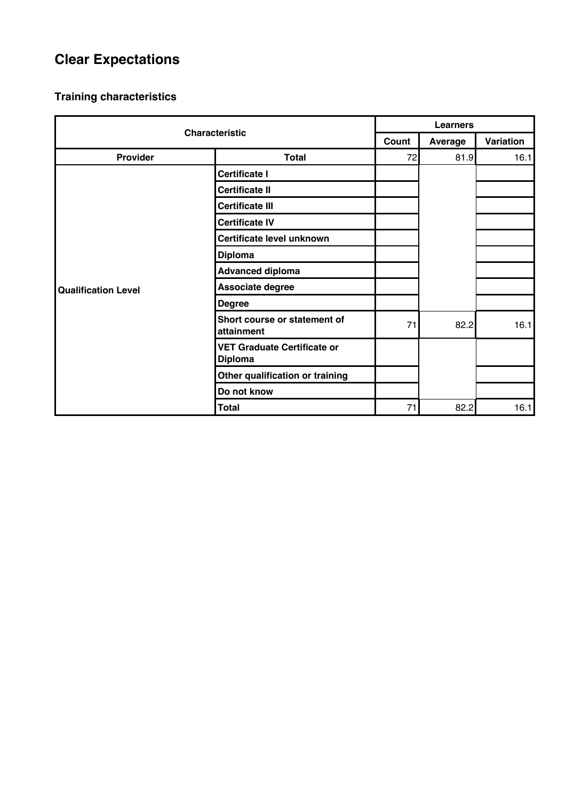# **Clear Expectations**

| <b>Characteristic</b>      |                                                      | <b>Learners</b> |         |           |  |
|----------------------------|------------------------------------------------------|-----------------|---------|-----------|--|
|                            |                                                      | Count           | Average | Variation |  |
| Provider                   | <b>Total</b>                                         | 72              | 81.9    | 16.1      |  |
|                            | <b>Certificate I</b>                                 |                 |         |           |  |
|                            | <b>Certificate II</b>                                |                 |         |           |  |
|                            | <b>Certificate III</b>                               |                 |         |           |  |
|                            | <b>Certificate IV</b>                                |                 |         |           |  |
|                            | Certificate level unknown                            |                 |         |           |  |
|                            | <b>Diploma</b>                                       |                 |         |           |  |
|                            | <b>Advanced diploma</b>                              |                 |         |           |  |
| <b>Qualification Level</b> | Associate degree                                     |                 |         |           |  |
|                            | <b>Degree</b>                                        |                 |         |           |  |
|                            | Short course or statement of<br>attainment           | 71              | 82.2    | 16.1      |  |
|                            | <b>VET Graduate Certificate or</b><br><b>Diploma</b> |                 |         |           |  |
|                            | Other qualification or training                      |                 |         |           |  |
|                            | Do not know                                          |                 |         |           |  |
|                            | <b>Total</b>                                         | 71              | 82.2    | 16.1      |  |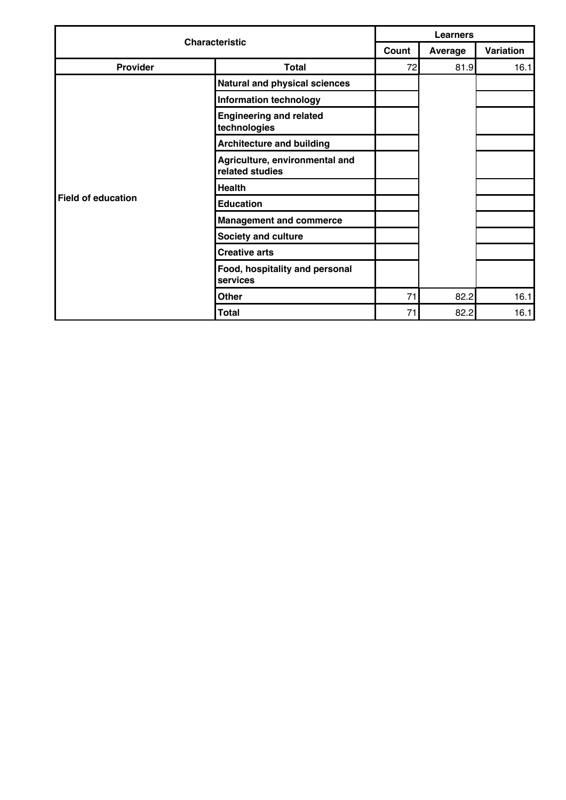| <b>Characteristic</b> |                                                   | <b>Learners</b> |         |           |  |
|-----------------------|---------------------------------------------------|-----------------|---------|-----------|--|
|                       |                                                   | Count           | Average | Variation |  |
| Provider              | <b>Total</b>                                      | 72              | 81.9    | 16.1      |  |
|                       | Natural and physical sciences                     |                 |         |           |  |
|                       | <b>Information technology</b>                     |                 |         |           |  |
|                       | <b>Engineering and related</b><br>technologies    |                 |         |           |  |
|                       | <b>Architecture and building</b>                  |                 |         |           |  |
|                       | Agriculture, environmental and<br>related studies |                 |         |           |  |
|                       | <b>Health</b>                                     |                 |         |           |  |
| Field of education    | <b>Education</b>                                  |                 |         |           |  |
|                       | <b>Management and commerce</b>                    |                 |         |           |  |
|                       | <b>Society and culture</b>                        |                 |         |           |  |
|                       | <b>Creative arts</b>                              |                 |         |           |  |
|                       | Food, hospitality and personal<br>services        |                 |         |           |  |
|                       | <b>Other</b>                                      | 71              | 82.2    | 16.1      |  |
|                       | <b>Total</b>                                      | 71              | 82.2    | 16.1      |  |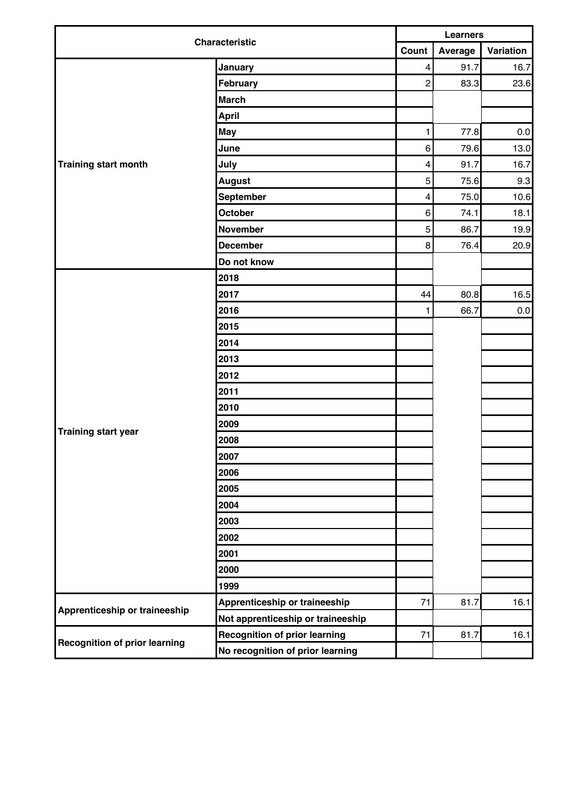| <b>Characteristic</b>                | <b>Learners</b>                      |                         |         |           |
|--------------------------------------|--------------------------------------|-------------------------|---------|-----------|
|                                      | Count                                |                         | Average | Variation |
|                                      | January                              | $\overline{\mathbf{4}}$ | 91.7    | 16.7      |
|                                      | February                             | $\overline{c}$          | 83.3    | 23.6      |
|                                      | <b>March</b>                         |                         |         |           |
|                                      | <b>April</b>                         |                         |         |           |
|                                      | <b>May</b>                           | 1                       | 77.8    | $0.0\,$   |
|                                      | June                                 | 6                       | 79.6    | 13.0      |
| Training start month                 | July                                 | $\overline{\mathbf{4}}$ | 91.7    | 16.7      |
|                                      | <b>August</b>                        | 5                       | 75.6    | 9.3       |
|                                      | September                            | $\overline{\mathbf{4}}$ | 75.0    | 10.6      |
|                                      | October                              | 6                       | 74.1    | 18.1      |
|                                      | <b>November</b>                      | 5                       | 86.7    | 19.9      |
|                                      | <b>December</b>                      | 8                       | 76.4    | 20.9      |
|                                      | Do not know                          |                         |         |           |
|                                      | 2018                                 |                         |         |           |
|                                      | 2017                                 | 44                      | 80.8    | 16.5      |
|                                      | 2016                                 | 1                       | 66.7    | 0.0       |
|                                      | 2015                                 |                         |         |           |
|                                      | 2014                                 |                         |         |           |
|                                      | 2013                                 |                         |         |           |
|                                      | 2012                                 |                         |         |           |
|                                      | 2011                                 |                         |         |           |
|                                      | 2010                                 |                         |         |           |
|                                      | 2009                                 |                         |         |           |
| <b>Training start year</b>           | 2008                                 |                         |         |           |
|                                      | 2007                                 |                         |         |           |
|                                      | 2006                                 |                         |         |           |
|                                      | 2005                                 |                         |         |           |
|                                      | 2004                                 |                         |         |           |
|                                      | 2003                                 |                         |         |           |
|                                      | 2002                                 |                         |         |           |
|                                      | 2001                                 |                         |         |           |
|                                      | 2000                                 |                         |         |           |
|                                      | 1999                                 |                         |         |           |
|                                      | Apprenticeship or traineeship        | 71                      | 81.7    | 16.1      |
| Apprenticeship or traineeship        | Not apprenticeship or traineeship    |                         |         |           |
|                                      | <b>Recognition of prior learning</b> | 71                      | 81.7    | 16.1      |
| <b>Recognition of prior learning</b> | No recognition of prior learning     |                         |         |           |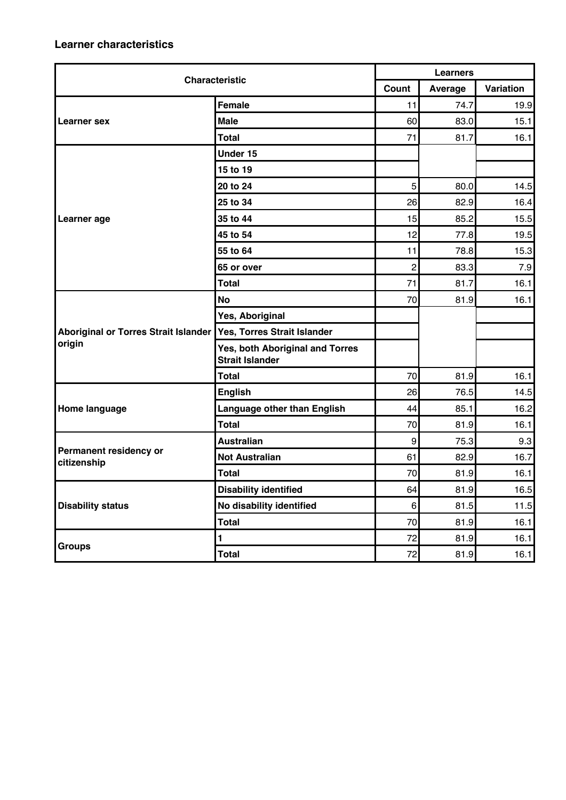| <b>Characteristic</b>                 |                                                           | <b>Learners</b>  |         |           |  |
|---------------------------------------|-----------------------------------------------------------|------------------|---------|-----------|--|
|                                       |                                                           | Count            | Average | Variation |  |
|                                       | Female                                                    | 11               | 74.7    | 19.9      |  |
| Learner sex                           | <b>Male</b>                                               | 60               | 83.0    | 15.1      |  |
|                                       | <b>Total</b>                                              | 71               | 81.7    | 16.1      |  |
|                                       | Under 15                                                  |                  |         |           |  |
|                                       | 15 to 19                                                  |                  |         |           |  |
|                                       | 20 to 24                                                  | 5                | 80.0    | 14.5      |  |
|                                       | 25 to 34                                                  | 26               | 82.9    | 16.4      |  |
| Learner age                           | 35 to 44                                                  | 15               | 85.2    | 15.5      |  |
|                                       | 45 to 54                                                  | 12               | 77.8    | 19.5      |  |
|                                       | 55 to 64                                                  | 11               | 78.8    | 15.3      |  |
|                                       | 65 or over                                                | $\overline{2}$   | 83.3    | 7.9       |  |
|                                       | <b>Total</b>                                              | 71               | 81.7    | 16.1      |  |
|                                       | <b>No</b>                                                 | 70               | 81.9    | 16.1      |  |
|                                       | Yes, Aboriginal                                           |                  |         |           |  |
| Aboriginal or Torres Strait Islander  | Yes, Torres Strait Islander                               |                  |         |           |  |
| origin                                | Yes, both Aboriginal and Torres<br><b>Strait Islander</b> |                  |         |           |  |
|                                       | Total                                                     | 70               | 81.9    | 16.1      |  |
|                                       | <b>English</b>                                            | 26               | 76.5    | 14.5      |  |
| Home language                         | Language other than English                               | 44               | 85.1    | 16.2      |  |
|                                       | <b>Total</b>                                              | 70               | 81.9    | 16.1      |  |
|                                       | <b>Australian</b>                                         | $\boldsymbol{9}$ | 75.3    | 9.3       |  |
| Permanent residency or<br>citizenship | <b>Not Australian</b>                                     | 61               | 82.9    | 16.7      |  |
|                                       | <b>Total</b>                                              | 70               | 81.9    | 16.1      |  |
|                                       | <b>Disability identified</b>                              | 64               | 81.9    | 16.5      |  |
| <b>Disability status</b>              | No disability identified                                  | 6 <sup>1</sup>   | 81.5    | 11.5      |  |
|                                       | <b>Total</b>                                              | 70               | 81.9    | 16.1      |  |
|                                       | $\blacksquare$                                            | 72               | 81.9    | 16.1      |  |
| <b>Groups</b>                         | <b>Total</b>                                              | 72               | 81.9    | 16.1      |  |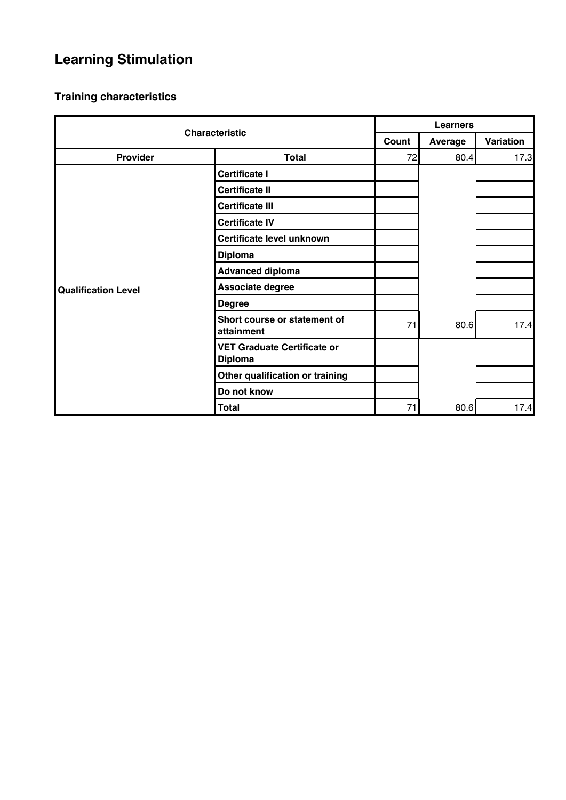# **Learning Stimulation**

| <b>Characteristic</b>      |                                                      | <b>Learners</b> |                |           |  |
|----------------------------|------------------------------------------------------|-----------------|----------------|-----------|--|
|                            |                                                      | Count           | <b>Average</b> | Variation |  |
| <b>Provider</b>            | <b>Total</b>                                         | 72              | 80.4           | 17.3      |  |
|                            | <b>Certificate I</b>                                 |                 |                |           |  |
|                            | <b>Certificate II</b>                                |                 |                |           |  |
|                            | <b>Certificate III</b>                               |                 |                |           |  |
|                            | <b>Certificate IV</b>                                |                 |                |           |  |
|                            | Certificate level unknown                            |                 |                |           |  |
|                            | <b>Diploma</b>                                       |                 |                |           |  |
|                            | <b>Advanced diploma</b>                              |                 |                |           |  |
| <b>Qualification Level</b> | Associate degree                                     |                 |                |           |  |
|                            | <b>Degree</b>                                        |                 |                |           |  |
|                            | Short course or statement of<br>attainment           | 71              | 80.6           | 17.4      |  |
|                            | <b>VET Graduate Certificate or</b><br><b>Diploma</b> |                 |                |           |  |
|                            | Other qualification or training                      |                 |                |           |  |
|                            | Do not know                                          |                 |                |           |  |
|                            | <b>Total</b>                                         | 71              | 80.6           | 17.4      |  |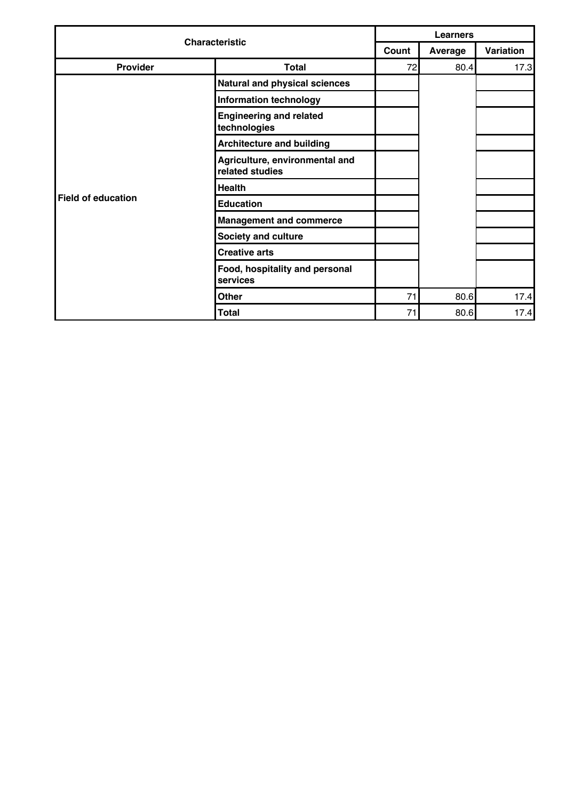| <b>Characteristic</b> |                                                   | <b>Learners</b> |         |           |  |
|-----------------------|---------------------------------------------------|-----------------|---------|-----------|--|
|                       |                                                   | Count           | Average | Variation |  |
| Provider              | <b>Total</b>                                      | 72              | 80.4    | 17.3      |  |
|                       | Natural and physical sciences                     |                 |         |           |  |
|                       | <b>Information technology</b>                     |                 |         |           |  |
|                       | <b>Engineering and related</b><br>technologies    |                 |         |           |  |
|                       | <b>Architecture and building</b>                  |                 |         |           |  |
|                       | Agriculture, environmental and<br>related studies |                 |         |           |  |
|                       | <b>Health</b>                                     |                 |         |           |  |
| Field of education    | <b>Education</b>                                  |                 |         |           |  |
|                       | <b>Management and commerce</b>                    |                 |         |           |  |
|                       | <b>Society and culture</b>                        |                 |         |           |  |
|                       | <b>Creative arts</b>                              |                 |         |           |  |
|                       | Food, hospitality and personal<br>services        |                 |         |           |  |
|                       | <b>Other</b>                                      | 71              | 80.6    | 17.4      |  |
|                       | <b>Total</b>                                      | 71              | 80.6    | 17.4      |  |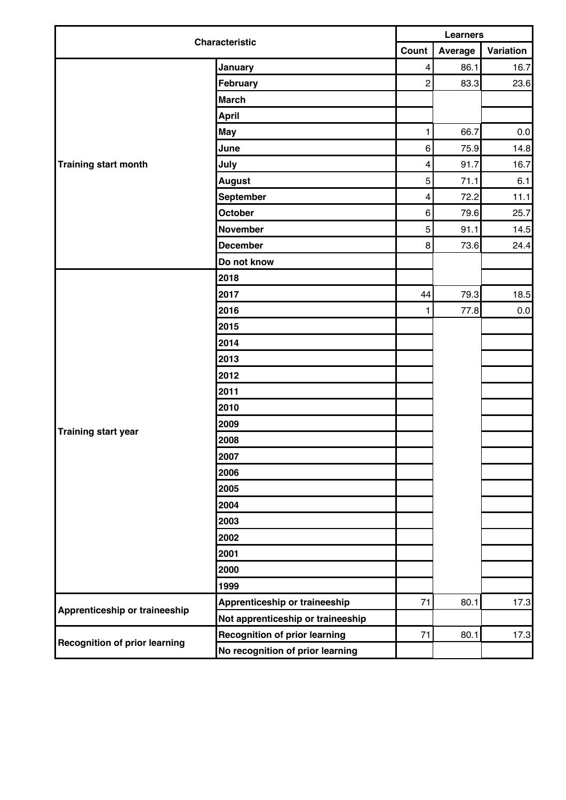| <b>Characteristic</b>                | <b>Learners</b>                      |                         |         |           |
|--------------------------------------|--------------------------------------|-------------------------|---------|-----------|
|                                      |                                      |                         | Average | Variation |
|                                      | January                              | $\overline{\mathbf{4}}$ | 86.1    | 16.7      |
|                                      | February                             | $\overline{c}$          | 83.3    | 23.6      |
|                                      | <b>March</b>                         |                         |         |           |
|                                      | <b>April</b>                         |                         |         |           |
|                                      | <b>May</b>                           | 1                       | 66.7    | $0.0\,$   |
|                                      | June                                 | 6                       | 75.9    | 14.8      |
| <b>Training start month</b>          | July                                 | $\overline{\mathbf{4}}$ | 91.7    | 16.7      |
|                                      | <b>August</b>                        | 5                       | 71.1    | 6.1       |
|                                      | September                            | $\overline{\mathbf{4}}$ | 72.2    | 11.1      |
|                                      | October                              | 6                       | 79.6    | 25.7      |
|                                      | <b>November</b>                      | 5                       | 91.1    | 14.5      |
|                                      | <b>December</b>                      | 8                       | 73.6    | 24.4      |
|                                      | Do not know                          |                         |         |           |
|                                      | 2018                                 |                         |         |           |
|                                      | 2017                                 | 44                      | 79.3    | 18.5      |
|                                      | 2016                                 | 1                       | 77.8    | 0.0       |
|                                      | 2015                                 |                         |         |           |
|                                      | 2014                                 |                         |         |           |
|                                      | 2013                                 |                         |         |           |
|                                      | 2012                                 |                         |         |           |
|                                      | 2011                                 |                         |         |           |
|                                      | 2010                                 |                         |         |           |
|                                      | 2009                                 |                         |         |           |
| <b>Training start year</b>           | 2008                                 |                         |         |           |
|                                      | 2007                                 |                         |         |           |
|                                      | 2006                                 |                         |         |           |
|                                      | 2005                                 |                         |         |           |
|                                      | 2004                                 |                         |         |           |
|                                      | 2003                                 |                         |         |           |
|                                      | 2002                                 |                         |         |           |
|                                      | 2001                                 |                         |         |           |
|                                      | 2000                                 |                         |         |           |
|                                      | 1999                                 |                         |         |           |
|                                      | Apprenticeship or traineeship        | 71                      | 80.1    | 17.3      |
| Apprenticeship or traineeship        | Not apprenticeship or traineeship    |                         |         |           |
|                                      | <b>Recognition of prior learning</b> | 71                      | 80.1    | 17.3      |
| <b>Recognition of prior learning</b> | No recognition of prior learning     |                         |         |           |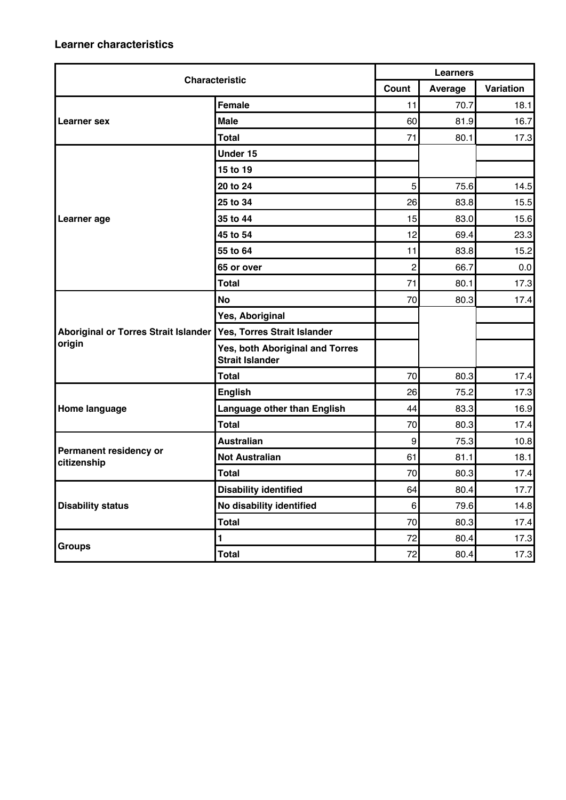| <b>Characteristic</b>                 |                                                           | <b>Learners</b>  |         |           |  |
|---------------------------------------|-----------------------------------------------------------|------------------|---------|-----------|--|
|                                       |                                                           | Count            | Average | Variation |  |
|                                       | Female                                                    | 11               | 70.7    | 18.1      |  |
| Learner sex                           | <b>Male</b>                                               | 60               | 81.9    | 16.7      |  |
|                                       | <b>Total</b>                                              | 71               | 80.1    | 17.3      |  |
|                                       | Under 15                                                  |                  |         |           |  |
|                                       | 15 to 19                                                  |                  |         |           |  |
|                                       | 20 to 24                                                  | 5                | 75.6    | 14.5      |  |
|                                       | 25 to 34                                                  | 26               | 83.8    | 15.5      |  |
| Learner age                           | 35 to 44                                                  | 15               | 83.0    | 15.6      |  |
|                                       | 45 to 54                                                  | 12               | 69.4    | 23.3      |  |
|                                       | 55 to 64                                                  | 11               | 83.8    | 15.2      |  |
|                                       | 65 or over                                                | $\overline{2}$   | 66.7    | 0.0       |  |
|                                       | <b>Total</b>                                              | 71               | 80.1    | 17.3      |  |
|                                       | <b>No</b>                                                 | 70               | 80.3    | 17.4      |  |
|                                       | Yes, Aboriginal                                           |                  |         |           |  |
| Aboriginal or Torres Strait Islander  | Yes, Torres Strait Islander                               |                  |         |           |  |
| origin                                | Yes, both Aboriginal and Torres<br><b>Strait Islander</b> |                  |         |           |  |
|                                       | Total                                                     | 70               | 80.3    | 17.4      |  |
|                                       | <b>English</b>                                            | 26               | 75.2    | 17.3      |  |
| Home language                         | Language other than English                               | 44               | 83.3    | 16.9      |  |
|                                       | <b>Total</b>                                              | 70               | 80.3    | 17.4      |  |
|                                       | <b>Australian</b>                                         | $\boldsymbol{9}$ | 75.3    | 10.8      |  |
| Permanent residency or<br>citizenship | <b>Not Australian</b>                                     | 61               | 81.1    | 18.1      |  |
|                                       | <b>Total</b>                                              | 70               | 80.3    | 17.4      |  |
|                                       | <b>Disability identified</b>                              | 64               | 80.4    | 17.7      |  |
| <b>Disability status</b>              | No disability identified                                  | 6 <sup>1</sup>   | 79.6    | 14.8      |  |
|                                       | <b>Total</b>                                              | 70               | 80.3    | 17.4      |  |
|                                       | $\blacksquare$                                            | 72               | 80.4    | 17.3      |  |
| <b>Groups</b>                         | <b>Total</b>                                              | 72               | 80.4    | 17.3      |  |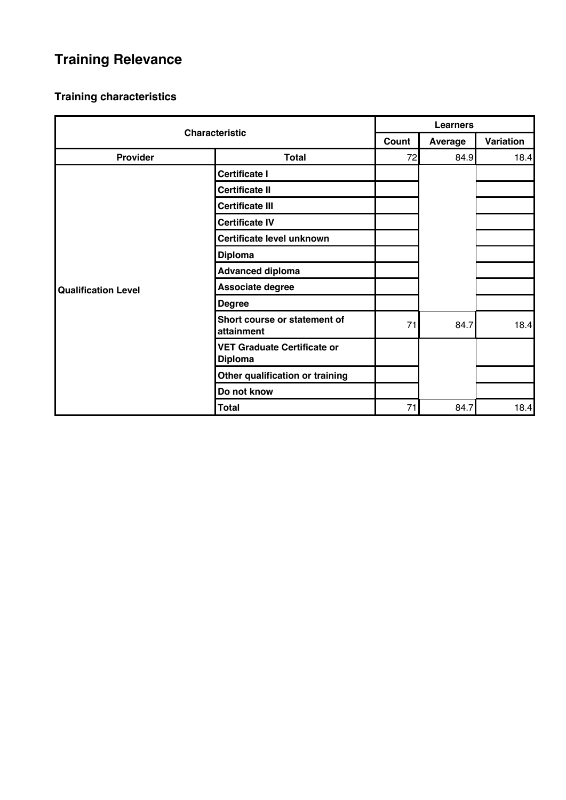# **Training Relevance**

| <b>Characteristic</b>      |                                                      | <b>Learners</b> |         |           |  |
|----------------------------|------------------------------------------------------|-----------------|---------|-----------|--|
|                            |                                                      | Count           | Average | Variation |  |
| Provider                   | <b>Total</b>                                         | 72              | 84.9    | 18.4      |  |
|                            | <b>Certificate I</b>                                 |                 |         |           |  |
|                            | <b>Certificate II</b>                                |                 |         |           |  |
|                            | <b>Certificate III</b>                               |                 |         |           |  |
|                            | <b>Certificate IV</b>                                |                 |         |           |  |
|                            | Certificate level unknown                            |                 |         |           |  |
|                            | <b>Diploma</b>                                       |                 |         |           |  |
|                            | <b>Advanced diploma</b>                              |                 |         |           |  |
| <b>Qualification Level</b> | Associate degree                                     |                 |         |           |  |
|                            | <b>Degree</b>                                        |                 |         |           |  |
|                            | Short course or statement of<br>attainment           | 71              | 84.7    | 18.4      |  |
|                            | <b>VET Graduate Certificate or</b><br><b>Diploma</b> |                 |         |           |  |
|                            | Other qualification or training                      |                 |         |           |  |
|                            | Do not know                                          |                 |         |           |  |
|                            | <b>Total</b>                                         | 71              | 84.7    | 18.4      |  |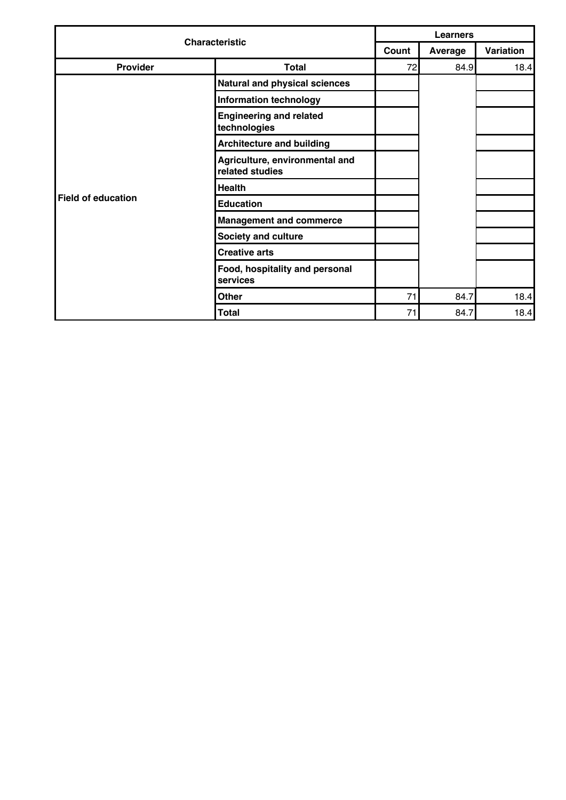| <b>Characteristic</b> |                                                   | <b>Learners</b> |         |           |  |
|-----------------------|---------------------------------------------------|-----------------|---------|-----------|--|
|                       |                                                   | Count           | Average | Variation |  |
| Provider              | <b>Total</b>                                      | 72              | 84.9    | 18.4      |  |
|                       | Natural and physical sciences                     |                 |         |           |  |
|                       | <b>Information technology</b>                     |                 |         |           |  |
|                       | <b>Engineering and related</b><br>technologies    |                 |         |           |  |
|                       | <b>Architecture and building</b>                  |                 |         |           |  |
|                       | Agriculture, environmental and<br>related studies |                 |         |           |  |
|                       | <b>Health</b>                                     |                 |         |           |  |
| Field of education    | <b>Education</b>                                  |                 |         |           |  |
|                       | <b>Management and commerce</b>                    |                 |         |           |  |
|                       | <b>Society and culture</b>                        |                 |         |           |  |
|                       | <b>Creative arts</b>                              |                 |         |           |  |
|                       | Food, hospitality and personal<br>services        |                 |         |           |  |
|                       | <b>Other</b>                                      | 71              | 84.7    | 18.4      |  |
|                       | <b>Total</b>                                      | 71              | 84.7    | 18.4      |  |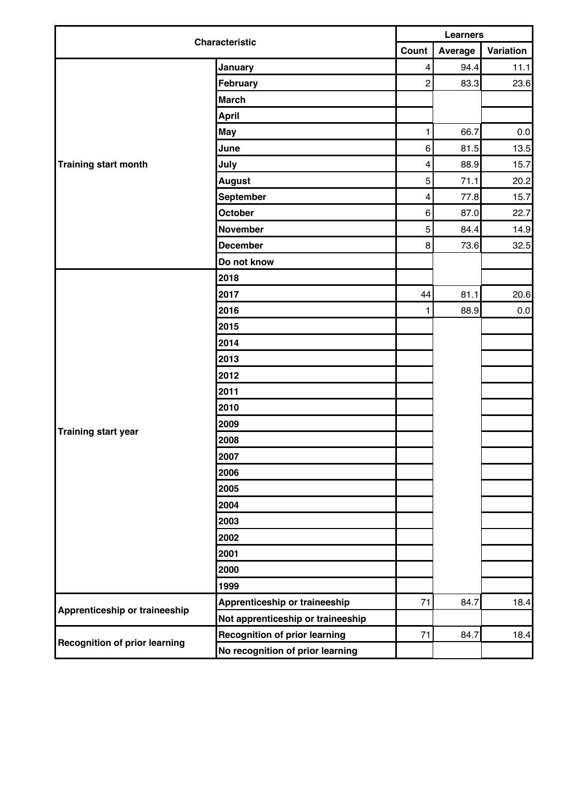| <b>Characteristic</b>                | <b>Learners</b>                      |                         |         |           |
|--------------------------------------|--------------------------------------|-------------------------|---------|-----------|
|                                      | Count                                |                         | Average | Variation |
|                                      | January                              | $\overline{\mathbf{4}}$ | 94.4    | 11.1      |
|                                      | February                             | $\overline{c}$          | 83.3    | 23.6      |
|                                      | <b>March</b>                         |                         |         |           |
|                                      | <b>April</b>                         |                         |         |           |
|                                      | <b>May</b>                           | 1                       | 66.7    | $0.0\,$   |
|                                      | June                                 | 6                       | 81.5    | 13.5      |
| Training start month                 | July                                 | $\overline{\mathbf{4}}$ | 88.9    | 15.7      |
|                                      | <b>August</b>                        | 5                       | 71.1    | 20.2      |
|                                      | September                            | $\overline{\mathbf{4}}$ | 77.8    | 15.7      |
|                                      | October                              | 6                       | 87.0    | 22.7      |
|                                      | <b>November</b>                      | 5                       | 84.4    | 14.9      |
|                                      | <b>December</b>                      | 8                       | 73.6    | 32.5      |
|                                      | Do not know                          |                         |         |           |
|                                      | 2018                                 |                         |         |           |
|                                      | 2017                                 | 44                      | 81.1    | 20.6      |
|                                      | 2016                                 | 1                       | 88.9    | 0.0       |
|                                      | 2015                                 |                         |         |           |
|                                      | 2014                                 |                         |         |           |
|                                      | 2013                                 |                         |         |           |
|                                      | 2012                                 |                         |         |           |
|                                      | 2011                                 |                         |         |           |
|                                      | 2010                                 |                         |         |           |
|                                      | 2009                                 |                         |         |           |
| <b>Training start year</b>           | 2008                                 |                         |         |           |
|                                      | 2007                                 |                         |         |           |
|                                      | 2006                                 |                         |         |           |
|                                      | 2005                                 |                         |         |           |
|                                      | 2004                                 |                         |         |           |
|                                      | 2003                                 |                         |         |           |
|                                      | 2002                                 |                         |         |           |
|                                      | 2001                                 |                         |         |           |
|                                      | 2000                                 |                         |         |           |
|                                      | 1999                                 |                         |         |           |
|                                      | Apprenticeship or traineeship        | 71                      | 84.7    | 18.4      |
| Apprenticeship or traineeship        | Not apprenticeship or traineeship    |                         |         |           |
|                                      | <b>Recognition of prior learning</b> | 71                      | 84.7    | 18.4      |
| <b>Recognition of prior learning</b> | No recognition of prior learning     |                         |         |           |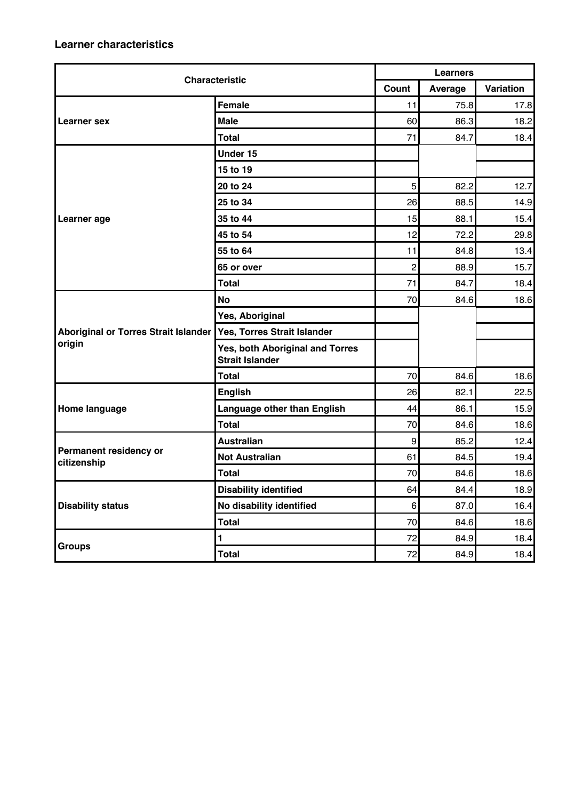| <b>Characteristic</b>                       |                                                           | <b>Learners</b>  |         |           |  |
|---------------------------------------------|-----------------------------------------------------------|------------------|---------|-----------|--|
|                                             |                                                           | Count            | Average | Variation |  |
|                                             | <b>Female</b>                                             | 11               | 75.8    | 17.8      |  |
| Learner sex                                 | <b>Male</b>                                               | 60               | 86.3    | 18.2      |  |
|                                             | <b>Total</b>                                              | 71               | 84.7    | 18.4      |  |
|                                             | Under 15                                                  |                  |         |           |  |
|                                             | 15 to 19                                                  |                  |         |           |  |
|                                             | 20 to 24                                                  | 5                | 82.2    | 12.7      |  |
|                                             | 25 to 34                                                  | 26               | 88.5    | 14.9      |  |
| Learner age                                 | 35 to 44                                                  | 15               | 88.1    | 15.4      |  |
|                                             | 45 to 54                                                  | 12               | 72.2    | 29.8      |  |
|                                             | 55 to 64                                                  | 11               | 84.8    | 13.4      |  |
|                                             | 65 or over                                                | $\overline{2}$   | 88.9    | 15.7      |  |
|                                             | <b>Total</b>                                              | 71               | 84.7    | 18.4      |  |
|                                             | <b>No</b>                                                 | 70               | 84.6    | 18.6      |  |
|                                             | Yes, Aboriginal                                           |                  |         |           |  |
| <b>Aboriginal or Torres Strait Islander</b> | Yes, Torres Strait Islander                               |                  |         |           |  |
| origin                                      | Yes, both Aboriginal and Torres<br><b>Strait Islander</b> |                  |         |           |  |
|                                             | <b>Total</b>                                              | 70               | 84.6    | 18.6      |  |
|                                             | <b>English</b>                                            | 26               | 82.1    | 22.5      |  |
| Home language                               | Language other than English                               | 44               | 86.1    | 15.9      |  |
|                                             | <b>Total</b>                                              | 70               | 84.6    | 18.6      |  |
|                                             | <b>Australian</b>                                         | $\boldsymbol{9}$ | 85.2    | 12.4      |  |
| Permanent residency or<br>citizenship       | <b>Not Australian</b>                                     | 61               | 84.5    | 19.4      |  |
|                                             | <b>Total</b>                                              | 70               | 84.6    | 18.6      |  |
|                                             | <b>Disability identified</b>                              | 64               | 84.4    | 18.9      |  |
| <b>Disability status</b>                    | No disability identified                                  | 6                | 87.0    | 16.4      |  |
|                                             | <b>Total</b>                                              | 70               | 84.6    | 18.6      |  |
|                                             | $\mathbf{1}$                                              | 72               | 84.9    | 18.4      |  |
| <b>Groups</b>                               | <b>Total</b>                                              | 72               | 84.9    | 18.4      |  |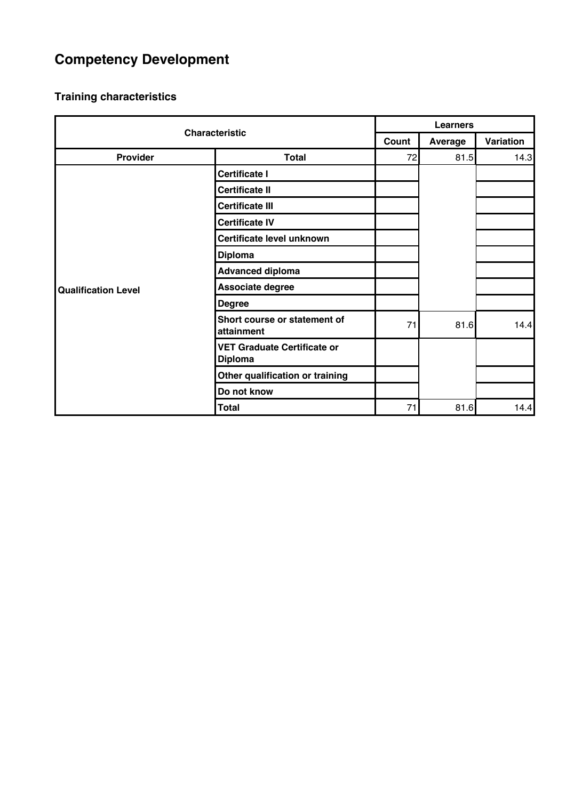# **Competency Development**

| <b>Characteristic</b>      |                                                      | <b>Learners</b> |         |           |
|----------------------------|------------------------------------------------------|-----------------|---------|-----------|
|                            |                                                      | Count           | Average | Variation |
| Provider                   | <b>Total</b>                                         | 72              | 81.5    | 14.3      |
|                            | <b>Certificate I</b>                                 |                 |         |           |
|                            | <b>Certificate II</b>                                |                 |         |           |
|                            | <b>Certificate III</b>                               |                 |         |           |
|                            | <b>Certificate IV</b>                                |                 |         |           |
|                            | Certificate level unknown                            |                 |         |           |
|                            | <b>Diploma</b>                                       |                 |         |           |
|                            | <b>Advanced diploma</b>                              |                 |         |           |
| <b>Qualification Level</b> | Associate degree                                     |                 |         |           |
|                            | <b>Degree</b>                                        |                 |         |           |
|                            | Short course or statement of<br>attainment           | 71              | 81.6    | 14.4      |
|                            | <b>VET Graduate Certificate or</b><br><b>Diploma</b> |                 |         |           |
|                            | Other qualification or training                      |                 |         |           |
|                            | Do not know                                          |                 |         |           |
|                            | <b>Total</b>                                         | 71              | 81.6    | 14.4      |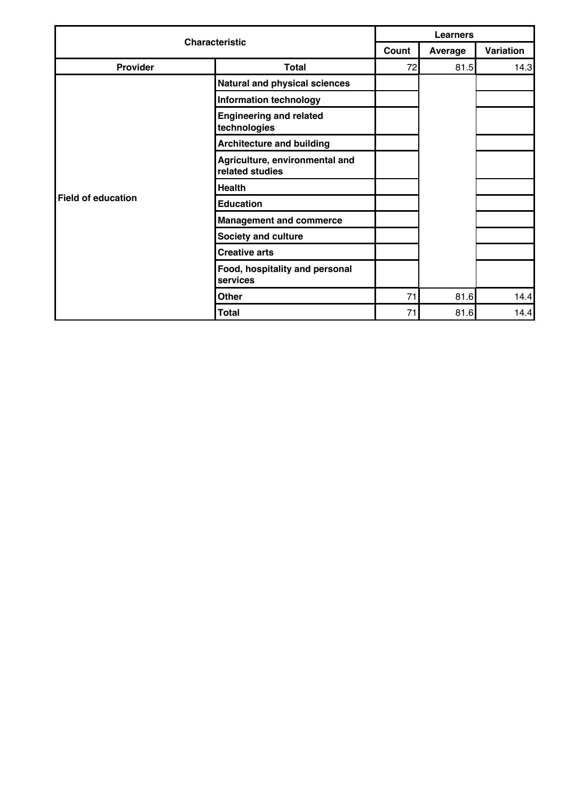| <b>Characteristic</b> |                                                   | <b>Learners</b> |         |           |  |
|-----------------------|---------------------------------------------------|-----------------|---------|-----------|--|
|                       |                                                   | Count           | Average | Variation |  |
| <b>Provider</b>       | <b>Total</b>                                      | 72              | 81.5    | 14.3      |  |
|                       | Natural and physical sciences                     |                 |         |           |  |
|                       | <b>Information technology</b>                     |                 |         |           |  |
|                       | <b>Engineering and related</b><br>technologies    |                 |         |           |  |
|                       | <b>Architecture and building</b>                  |                 |         |           |  |
|                       | Agriculture, environmental and<br>related studies |                 |         |           |  |
|                       | <b>Health</b>                                     |                 |         |           |  |
| Field of education    | <b>Education</b>                                  |                 |         |           |  |
|                       | <b>Management and commerce</b>                    |                 |         |           |  |
|                       | <b>Society and culture</b>                        |                 |         |           |  |
|                       | <b>Creative arts</b>                              |                 |         |           |  |
|                       | Food, hospitality and personal<br>services        |                 |         |           |  |
|                       | <b>Other</b>                                      | 71              | 81.6    | 14.4      |  |
|                       | <b>Total</b>                                      | 71              | 81.6    | 14.4      |  |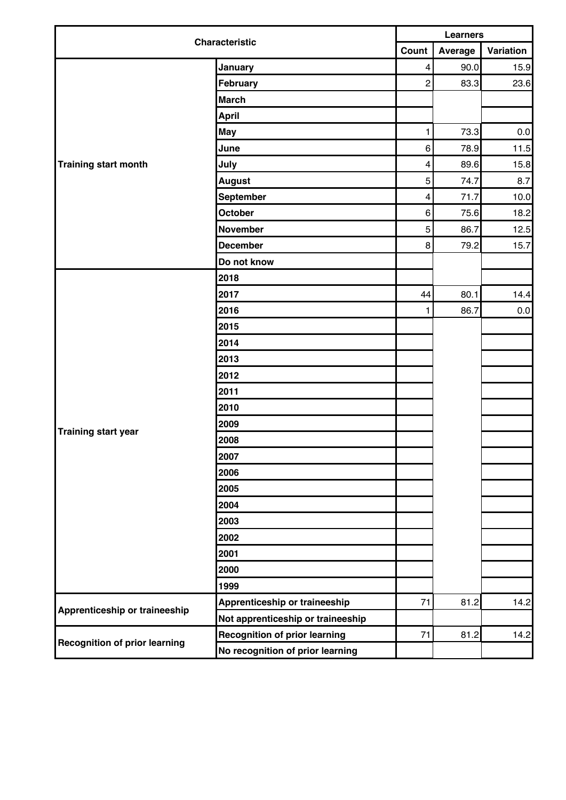| <b>Characteristic</b>                | <b>Learners</b>                      |                         |         |           |
|--------------------------------------|--------------------------------------|-------------------------|---------|-----------|
|                                      |                                      |                         | Average | Variation |
|                                      | January                              | $\overline{\mathbf{4}}$ | 90.0    | 15.9      |
|                                      | February                             | $\overline{c}$          | 83.3    | 23.6      |
|                                      | <b>March</b>                         |                         |         |           |
|                                      | <b>April</b>                         |                         |         |           |
|                                      | May                                  | 1                       | 73.3    | $0.0\,$   |
|                                      | June                                 | 6                       | 78.9    | 11.5      |
| Training start month                 | July                                 | $\overline{\mathbf{4}}$ | 89.6    | 15.8      |
|                                      | <b>August</b>                        | 5                       | 74.7    | 8.7       |
|                                      | September                            | $\overline{\mathbf{4}}$ | 71.7    | 10.0      |
|                                      | October                              | 6                       | 75.6    | 18.2      |
|                                      | <b>November</b>                      | 5                       | 86.7    | 12.5      |
|                                      | <b>December</b>                      | 8                       | 79.2    | 15.7      |
|                                      | Do not know                          |                         |         |           |
|                                      | 2018                                 |                         |         |           |
|                                      | 2017                                 | 44                      | 80.1    | 14.4      |
|                                      | 2016                                 | 1                       | 86.7    | $0.0\,$   |
|                                      | 2015                                 |                         |         |           |
|                                      | 2014                                 |                         |         |           |
|                                      | 2013                                 |                         |         |           |
|                                      | 2012                                 |                         |         |           |
|                                      | 2011                                 |                         |         |           |
|                                      | 2010                                 |                         |         |           |
|                                      | 2009                                 |                         |         |           |
| <b>Training start year</b>           | 2008                                 |                         |         |           |
|                                      | 2007                                 |                         |         |           |
|                                      | 2006                                 |                         |         |           |
|                                      | 2005                                 |                         |         |           |
|                                      | 2004                                 |                         |         |           |
|                                      | 2003                                 |                         |         |           |
|                                      | 2002                                 |                         |         |           |
|                                      | 2001                                 |                         |         |           |
|                                      | 2000                                 |                         |         |           |
|                                      | 1999                                 |                         |         |           |
|                                      | Apprenticeship or traineeship        | 71                      | 81.2    | 14.2      |
| Apprenticeship or traineeship        | Not apprenticeship or traineeship    |                         |         |           |
|                                      | <b>Recognition of prior learning</b> | 71                      | 81.2    | $14.2$    |
| <b>Recognition of prior learning</b> | No recognition of prior learning     |                         |         |           |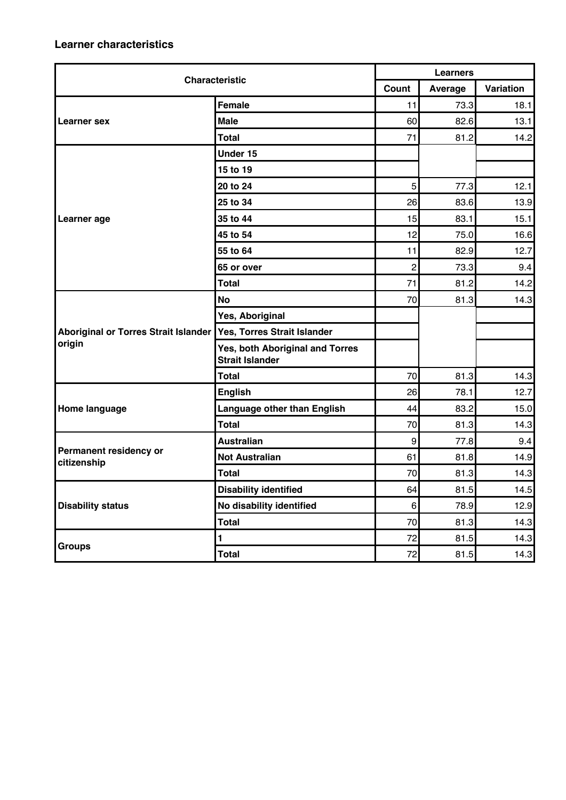| <b>Characteristic</b>                       |                                                           | <b>Learners</b>  |         |           |  |
|---------------------------------------------|-----------------------------------------------------------|------------------|---------|-----------|--|
|                                             |                                                           | Count            | Average | Variation |  |
|                                             | <b>Female</b>                                             | 11               | 73.3    | 18.1      |  |
| Learner sex                                 | <b>Male</b>                                               | 60               | 82.6    | 13.1      |  |
|                                             | <b>Total</b>                                              | 71               | 81.2    | 14.2      |  |
|                                             | Under 15                                                  |                  |         |           |  |
|                                             | 15 to 19                                                  |                  |         |           |  |
|                                             | 20 to 24                                                  | 5                | 77.3    | 12.1      |  |
|                                             | 25 to 34                                                  | 26               | 83.6    | 13.9      |  |
| Learner age                                 | 35 to 44                                                  | 15               | 83.1    | 15.1      |  |
|                                             | 45 to 54                                                  | 12               | 75.0    | 16.6      |  |
|                                             | 55 to 64                                                  | 11               | 82.9    | 12.7      |  |
|                                             | 65 or over                                                | $\overline{2}$   | 73.3    | 9.4       |  |
|                                             | <b>Total</b>                                              | 71               | 81.2    | 14.2      |  |
|                                             | <b>No</b>                                                 | 70               | 81.3    | 14.3      |  |
|                                             | Yes, Aboriginal                                           |                  |         |           |  |
| <b>Aboriginal or Torres Strait Islander</b> | Yes, Torres Strait Islander                               |                  |         |           |  |
| origin                                      | Yes, both Aboriginal and Torres<br><b>Strait Islander</b> |                  |         |           |  |
|                                             | <b>Total</b>                                              | 70               | 81.3    | 14.3      |  |
|                                             | <b>English</b>                                            | 26               | 78.1    | 12.7      |  |
| Home language                               | Language other than English                               | 44               | 83.2    | 15.0      |  |
|                                             | <b>Total</b>                                              | 70               | 81.3    | 14.3      |  |
|                                             | <b>Australian</b>                                         | $\boldsymbol{9}$ | 77.8    | 9.4       |  |
| Permanent residency or<br>citizenship       | <b>Not Australian</b>                                     | 61               | 81.8    | 14.9      |  |
|                                             | <b>Total</b>                                              | 70               | 81.3    | 14.3      |  |
|                                             | <b>Disability identified</b>                              | 64               | 81.5    | 14.5      |  |
| <b>Disability status</b>                    | No disability identified                                  | 6                | 78.9    | 12.9      |  |
|                                             | <b>Total</b>                                              | 70               | 81.3    | 14.3      |  |
|                                             | $\mathbf{1}$                                              | 72               | 81.5    | 14.3      |  |
| <b>Groups</b>                               | <b>Total</b>                                              | 72               | 81.5    | 14.3      |  |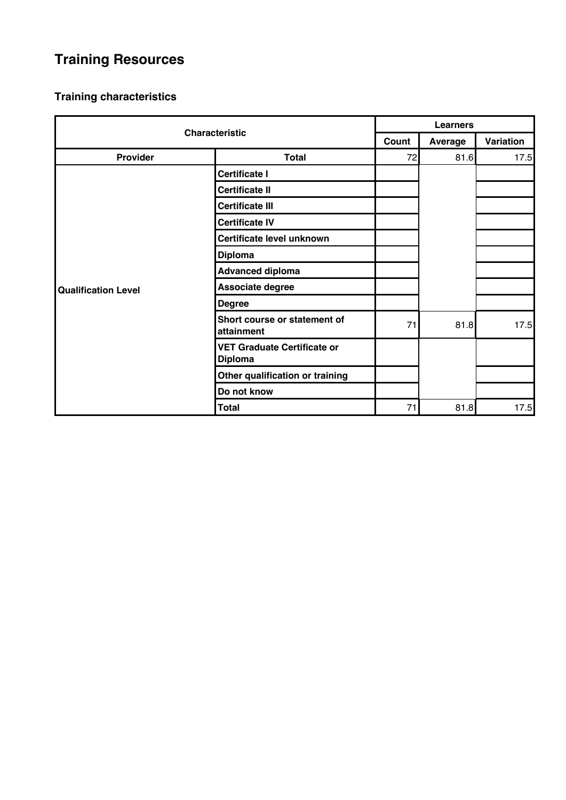# **Training Resources**

| <b>Characteristic</b>      |                                                      | <b>Learners</b> |                |           |
|----------------------------|------------------------------------------------------|-----------------|----------------|-----------|
|                            |                                                      | Count           | <b>Average</b> | Variation |
| <b>Provider</b>            | <b>Total</b>                                         | 72              | 81.6           | 17.5      |
|                            | <b>Certificate I</b>                                 |                 |                |           |
|                            | <b>Certificate II</b>                                |                 |                |           |
|                            | <b>Certificate III</b>                               |                 |                |           |
|                            | <b>Certificate IV</b>                                |                 |                |           |
|                            | Certificate level unknown                            |                 |                |           |
|                            | <b>Diploma</b>                                       |                 |                |           |
|                            | <b>Advanced diploma</b>                              |                 |                |           |
| <b>Qualification Level</b> | Associate degree                                     |                 |                |           |
|                            | <b>Degree</b>                                        |                 |                |           |
|                            | Short course or statement of<br>attainment           | 71              | 81.8           | 17.5      |
|                            | <b>VET Graduate Certificate or</b><br><b>Diploma</b> |                 |                |           |
|                            | Other qualification or training                      |                 |                |           |
|                            | Do not know                                          |                 |                |           |
|                            | <b>Total</b>                                         | 71              | 81.8           | 17.5      |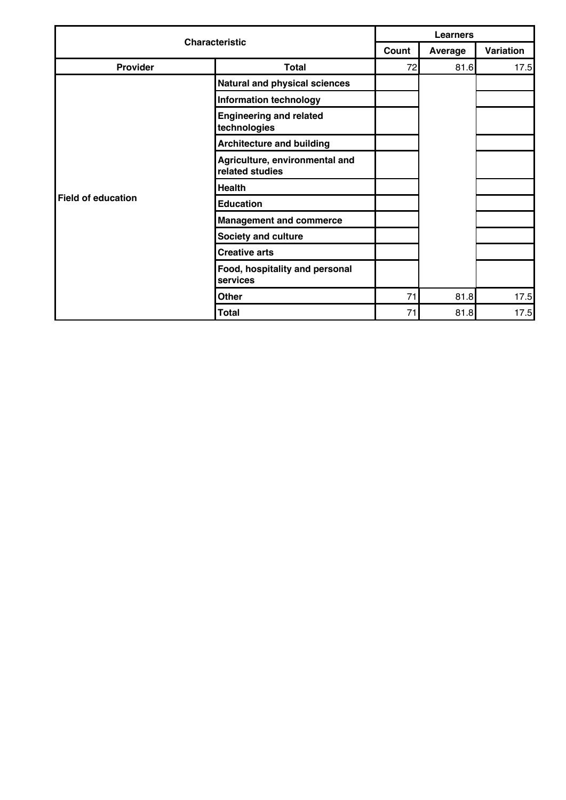| <b>Characteristic</b> |                                                   | <b>Learners</b> |         |           |  |
|-----------------------|---------------------------------------------------|-----------------|---------|-----------|--|
|                       |                                                   | Count           | Average | Variation |  |
| Provider              | <b>Total</b>                                      | 72              | 81.6    | 17.5      |  |
|                       | Natural and physical sciences                     |                 |         |           |  |
|                       | <b>Information technology</b>                     |                 |         |           |  |
|                       | <b>Engineering and related</b><br>technologies    |                 |         |           |  |
|                       | <b>Architecture and building</b>                  |                 |         |           |  |
|                       | Agriculture, environmental and<br>related studies |                 |         |           |  |
|                       | <b>Health</b>                                     |                 |         |           |  |
| Field of education    | <b>Education</b>                                  |                 |         |           |  |
|                       | <b>Management and commerce</b>                    |                 |         |           |  |
|                       | <b>Society and culture</b>                        |                 |         |           |  |
|                       | <b>Creative arts</b>                              |                 |         |           |  |
|                       | Food, hospitality and personal<br>services        |                 |         |           |  |
|                       | <b>Other</b>                                      | 71              | 81.8    | 17.5      |  |
|                       | <b>Total</b>                                      | 71              | 81.8    | 17.5      |  |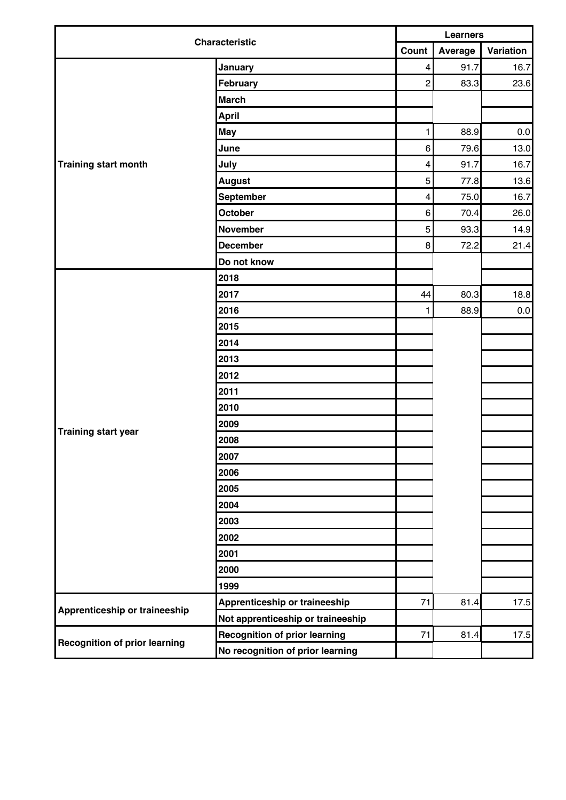| <b>Characteristic</b>                | <b>Learners</b>                      |                         |         |           |
|--------------------------------------|--------------------------------------|-------------------------|---------|-----------|
|                                      | Count                                |                         | Average | Variation |
|                                      | January                              | $\overline{\mathbf{4}}$ | 91.7    | 16.7      |
|                                      | February                             | $\overline{c}$          | 83.3    | 23.6      |
|                                      | <b>March</b>                         |                         |         |           |
|                                      | April                                |                         |         |           |
|                                      | <b>May</b>                           | 1                       | 88.9    | $0.0\,$   |
|                                      | June                                 | 6                       | 79.6    | 13.0      |
| Training start month                 | July                                 | $\overline{\mathbf{4}}$ | 91.7    | 16.7      |
|                                      | <b>August</b>                        | 5                       | 77.8    | 13.6      |
|                                      | September                            | $\overline{\mathbf{4}}$ | 75.0    | 16.7      |
|                                      | October                              | 6                       | 70.4    | 26.0      |
|                                      | <b>November</b>                      | 5                       | 93.3    | 14.9      |
|                                      | <b>December</b>                      | 8                       | 72.2    | 21.4      |
|                                      | Do not know                          |                         |         |           |
|                                      | 2018                                 |                         |         |           |
|                                      | 2017                                 | 44                      | 80.3    | 18.8      |
|                                      | 2016                                 | 1                       | 88.9    | 0.0       |
|                                      | 2015                                 |                         |         |           |
|                                      | 2014                                 |                         |         |           |
|                                      | 2013                                 |                         |         |           |
|                                      | 2012                                 |                         |         |           |
|                                      | 2011                                 |                         |         |           |
|                                      | 2010                                 |                         |         |           |
|                                      | 2009                                 |                         |         |           |
| <b>Training start year</b>           | 2008                                 |                         |         |           |
|                                      | 2007                                 |                         |         |           |
|                                      | 2006                                 |                         |         |           |
|                                      | 2005                                 |                         |         |           |
|                                      | 2004                                 |                         |         |           |
|                                      | 2003                                 |                         |         |           |
|                                      | 2002                                 |                         |         |           |
|                                      | 2001                                 |                         |         |           |
|                                      | 2000                                 |                         |         |           |
|                                      | 1999                                 |                         |         |           |
|                                      | Apprenticeship or traineeship        | 71                      | 81.4    | 17.5      |
| Apprenticeship or traineeship        | Not apprenticeship or traineeship    |                         |         |           |
|                                      | <b>Recognition of prior learning</b> | 71                      | 81.4    | 17.5      |
| <b>Recognition of prior learning</b> | No recognition of prior learning     |                         |         |           |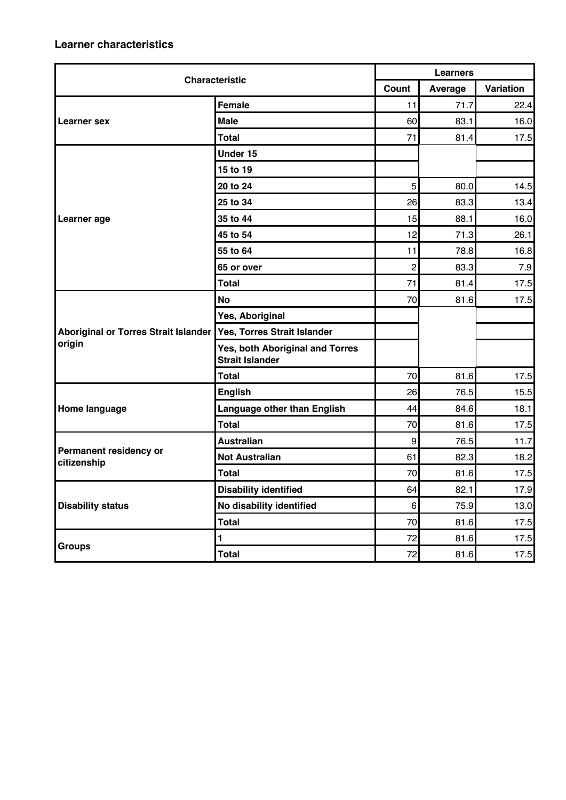| <b>Characteristic</b>                 |                                                           | <b>Learners</b>  |         |           |  |
|---------------------------------------|-----------------------------------------------------------|------------------|---------|-----------|--|
|                                       |                                                           | Count            | Average | Variation |  |
|                                       | Female                                                    | 11               | 71.7    | 22.4      |  |
| Learner sex                           | <b>Male</b>                                               | 60               | 83.1    | 16.0      |  |
|                                       | <b>Total</b>                                              | 71               | 81.4    | 17.5      |  |
|                                       | Under 15                                                  |                  |         |           |  |
|                                       | 15 to 19                                                  |                  |         |           |  |
|                                       | 20 to 24                                                  | 5                | 80.0    | 14.5      |  |
|                                       | 25 to 34                                                  | 26               | 83.3    | 13.4      |  |
| Learner age                           | 35 to 44                                                  | 15               | 88.1    | 16.0      |  |
|                                       | 45 to 54                                                  | 12               | 71.3    | 26.1      |  |
|                                       | 55 to 64                                                  | 11               | 78.8    | 16.8      |  |
|                                       | 65 or over                                                | $\overline{2}$   | 83.3    | 7.9       |  |
|                                       | <b>Total</b>                                              | 71               | 81.4    | 17.5      |  |
|                                       | <b>No</b>                                                 | 70               | 81.6    | 17.5      |  |
|                                       | Yes, Aboriginal                                           |                  |         |           |  |
| Aboriginal or Torres Strait Islander  | Yes, Torres Strait Islander                               |                  |         |           |  |
| origin                                | Yes, both Aboriginal and Torres<br><b>Strait Islander</b> |                  |         |           |  |
|                                       | Total                                                     | 70               | 81.6    | 17.5      |  |
|                                       | <b>English</b>                                            | 26               | 76.5    | 15.5      |  |
| Home language                         | Language other than English                               | 44               | 84.6    | 18.1      |  |
|                                       | <b>Total</b>                                              | 70               | 81.6    | 17.5      |  |
|                                       | <b>Australian</b>                                         | $\boldsymbol{9}$ | 76.5    | 11.7      |  |
| Permanent residency or<br>citizenship | <b>Not Australian</b>                                     | 61               | 82.3    | 18.2      |  |
|                                       | <b>Total</b>                                              | 70               | 81.6    | 17.5      |  |
|                                       | <b>Disability identified</b>                              | 64               | 82.1    | 17.9      |  |
| <b>Disability status</b>              | No disability identified                                  | 6 <sup>1</sup>   | 75.9    | 13.0      |  |
|                                       | <b>Total</b>                                              | 70               | 81.6    | 17.5      |  |
|                                       | $\blacksquare$                                            | 72               | 81.6    | 17.5      |  |
| <b>Groups</b>                         | <b>Total</b>                                              | 72               | 81.6    | 17.5      |  |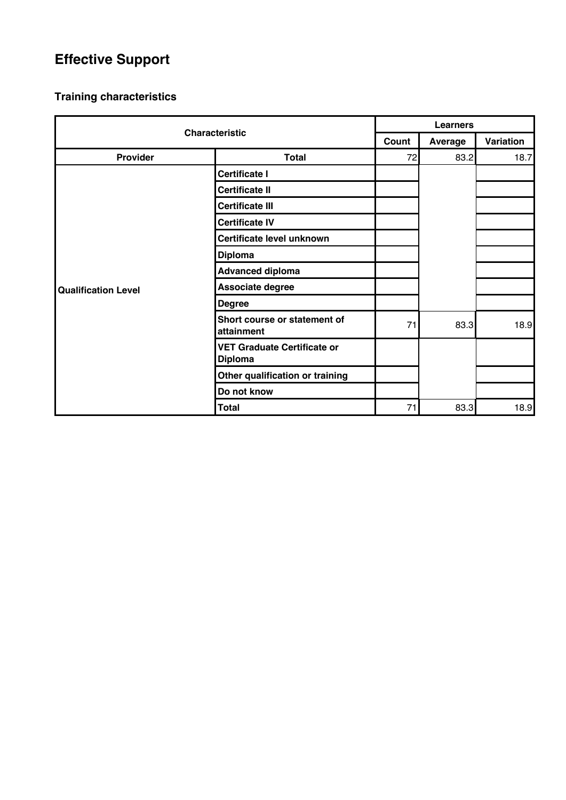# **Effective Support**

| <b>Characteristic</b>      |                                                      | <b>Learners</b> |         |           |  |
|----------------------------|------------------------------------------------------|-----------------|---------|-----------|--|
|                            |                                                      | Count           | Average | Variation |  |
| Provider                   | <b>Total</b>                                         | 72              | 83.2    | 18.7      |  |
|                            | <b>Certificate I</b>                                 |                 |         |           |  |
|                            | <b>Certificate II</b>                                |                 |         |           |  |
|                            | <b>Certificate III</b>                               |                 |         |           |  |
|                            | <b>Certificate IV</b>                                |                 |         |           |  |
|                            | Certificate level unknown                            |                 |         |           |  |
|                            | <b>Diploma</b>                                       |                 |         |           |  |
|                            | <b>Advanced diploma</b>                              |                 |         |           |  |
| <b>Qualification Level</b> | Associate degree                                     |                 |         |           |  |
|                            | <b>Degree</b>                                        |                 |         |           |  |
|                            | Short course or statement of<br>attainment           | 71              | 83.3    | 18.9      |  |
|                            | <b>VET Graduate Certificate or</b><br><b>Diploma</b> |                 |         |           |  |
|                            | Other qualification or training                      |                 |         |           |  |
|                            | Do not know                                          |                 |         |           |  |
|                            | <b>Total</b>                                         | 71              | 83.3    | 18.9      |  |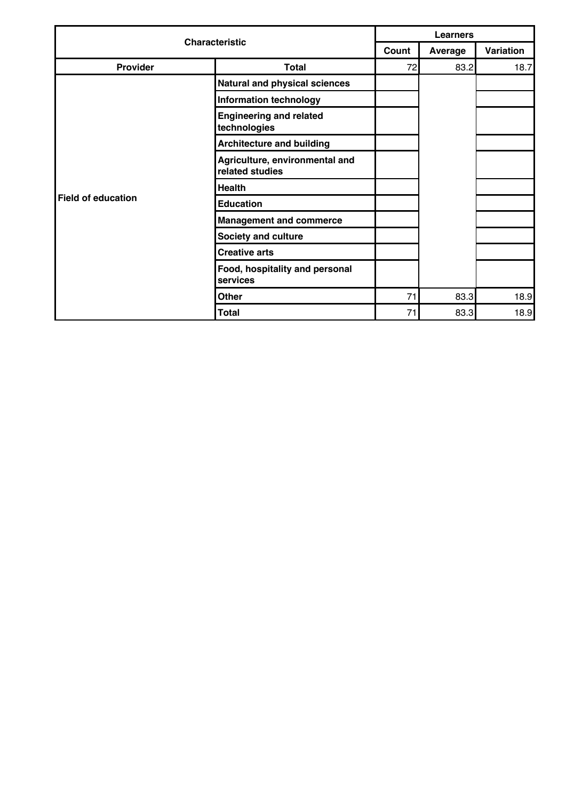| <b>Characteristic</b> |                                                   | <b>Learners</b> |         |           |  |
|-----------------------|---------------------------------------------------|-----------------|---------|-----------|--|
|                       |                                                   | Count           | Average | Variation |  |
| Provider              | <b>Total</b>                                      | 72              | 83.2    | 18.7      |  |
|                       | <b>Natural and physical sciences</b>              |                 |         |           |  |
|                       | <b>Information technology</b>                     |                 |         |           |  |
|                       | <b>Engineering and related</b><br>technologies    |                 |         |           |  |
|                       | <b>Architecture and building</b>                  |                 |         |           |  |
|                       | Agriculture, environmental and<br>related studies |                 |         |           |  |
|                       | <b>Health</b>                                     |                 |         |           |  |
| Field of education    | <b>Education</b>                                  |                 |         |           |  |
|                       | <b>Management and commerce</b>                    |                 |         |           |  |
|                       | <b>Society and culture</b>                        |                 |         |           |  |
|                       | <b>Creative arts</b>                              |                 |         |           |  |
|                       | Food, hospitality and personal<br>services        |                 |         |           |  |
|                       | <b>Other</b>                                      | 71              | 83.3    | 18.9      |  |
|                       | <b>Total</b>                                      | 71              | 83.3    | 18.9      |  |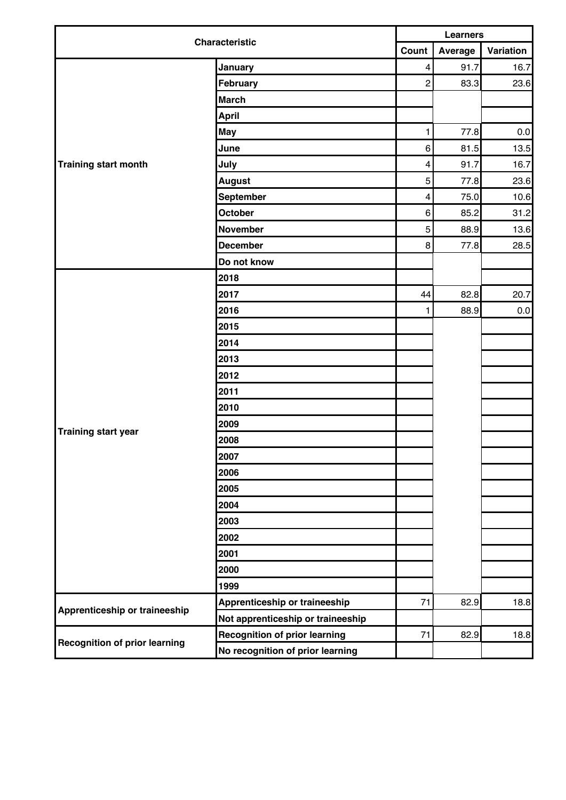| <b>Characteristic</b>                | <b>Learners</b>                      |                         |         |           |
|--------------------------------------|--------------------------------------|-------------------------|---------|-----------|
|                                      | Count                                |                         | Average | Variation |
|                                      | January                              | $\overline{\mathbf{4}}$ | 91.7    | 16.7      |
|                                      | February                             | $\overline{c}$          | 83.3    | 23.6      |
|                                      | <b>March</b>                         |                         |         |           |
|                                      | April                                |                         |         |           |
|                                      | <b>May</b>                           | 1                       | 77.8    | $0.0\,$   |
|                                      | June                                 | 6                       | 81.5    | 13.5      |
| Training start month                 | July                                 | $\overline{\mathbf{4}}$ | 91.7    | 16.7      |
|                                      | <b>August</b>                        | 5                       | 77.8    | 23.6      |
|                                      | September                            | $\overline{\mathbf{4}}$ | 75.0    | 10.6      |
|                                      | October                              | 6                       | 85.2    | 31.2      |
|                                      | <b>November</b>                      | 5                       | 88.9    | 13.6      |
|                                      | <b>December</b>                      | 8                       | 77.8    | 28.5      |
|                                      | Do not know                          |                         |         |           |
|                                      | 2018                                 |                         |         |           |
|                                      | 2017                                 | 44                      | 82.8    | 20.7      |
|                                      | 2016                                 | 1                       | 88.9    | $0.0\,$   |
|                                      | 2015                                 |                         |         |           |
|                                      | 2014                                 |                         |         |           |
|                                      | 2013                                 |                         |         |           |
|                                      | 2012                                 |                         |         |           |
|                                      | 2011                                 |                         |         |           |
|                                      | 2010                                 |                         |         |           |
|                                      | 2009                                 |                         |         |           |
| <b>Training start year</b>           | 2008                                 |                         |         |           |
|                                      | 2007                                 |                         |         |           |
|                                      | 2006                                 |                         |         |           |
|                                      | 2005                                 |                         |         |           |
|                                      | 2004                                 |                         |         |           |
|                                      | 2003                                 |                         |         |           |
|                                      | 2002                                 |                         |         |           |
|                                      | 2001                                 |                         |         |           |
|                                      | 2000                                 |                         |         |           |
|                                      | 1999                                 |                         |         |           |
|                                      | Apprenticeship or traineeship        | 71                      | 82.9    | 18.8      |
| Apprenticeship or traineeship        | Not apprenticeship or traineeship    |                         |         |           |
|                                      | <b>Recognition of prior learning</b> | 71                      | 82.9    | 18.8      |
| <b>Recognition of prior learning</b> | No recognition of prior learning     |                         |         |           |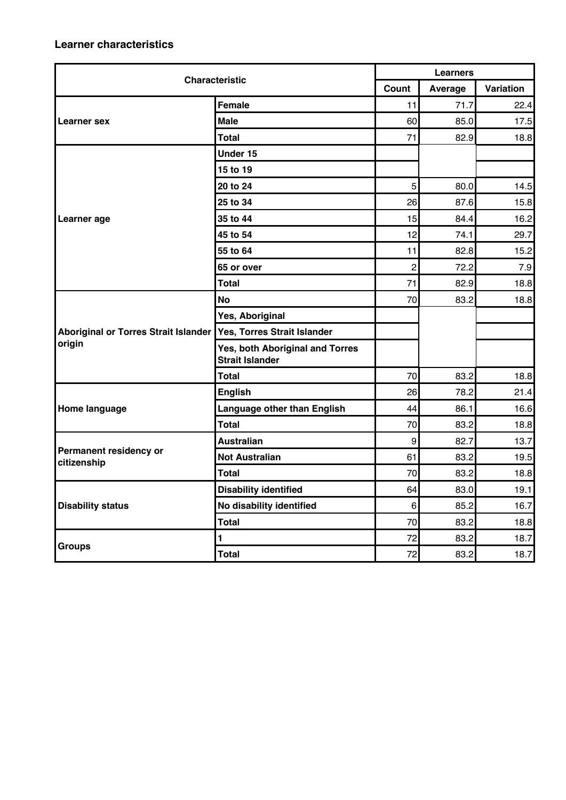| <b>Characteristic</b>                       |                                                           | <b>Learners</b>  |         |           |  |
|---------------------------------------------|-----------------------------------------------------------|------------------|---------|-----------|--|
|                                             |                                                           | Count            | Average | Variation |  |
|                                             | <b>Female</b>                                             | 11               | 71.7    | 22.4      |  |
| <b>Learner</b> sex                          | <b>Male</b>                                               | 60               | 85.0    | 17.5      |  |
|                                             | <b>Total</b>                                              | 71               | 82.9    | 18.8      |  |
|                                             | Under 15                                                  |                  |         |           |  |
|                                             | 15 to 19                                                  |                  |         |           |  |
|                                             | 20 to 24                                                  | 5                | 80.0    | 14.5      |  |
|                                             | 25 to 34                                                  | 26               | 87.6    | 15.8      |  |
| Learner age                                 | 35 to 44                                                  | 15               | 84.4    | 16.2      |  |
|                                             | 45 to 54                                                  | 12               | 74.1    | 29.7      |  |
|                                             | 55 to 64                                                  | 11               | 82.8    | 15.2      |  |
|                                             | 65 or over                                                | $\overline{2}$   | 72.2    | 7.9       |  |
|                                             | <b>Total</b>                                              | 71               | 82.9    | 18.8      |  |
|                                             | <b>No</b>                                                 | 70               | 83.2    | 18.8      |  |
|                                             | Yes, Aboriginal                                           |                  |         |           |  |
| <b>Aboriginal or Torres Strait Islander</b> | Yes, Torres Strait Islander                               |                  |         |           |  |
| origin                                      | Yes, both Aboriginal and Torres<br><b>Strait Islander</b> |                  |         |           |  |
|                                             | <b>Total</b>                                              | 70               | 83.2    | 18.8      |  |
|                                             | <b>English</b>                                            | 26               | 78.2    | 21.4      |  |
| Home language                               | Language other than English                               | 44               | 86.1    | 16.6      |  |
|                                             | <b>Total</b>                                              | 70               | 83.2    | 18.8      |  |
|                                             | <b>Australian</b>                                         | $\boldsymbol{9}$ | 82.7    | 13.7      |  |
| Permanent residency or<br>citizenship       | <b>Not Australian</b>                                     | 61               | 83.2    | 19.5      |  |
|                                             | <b>Total</b>                                              | 70               | 83.2    | 18.8      |  |
|                                             | <b>Disability identified</b>                              | 64               | 83.0    | 19.1      |  |
| <b>Disability status</b>                    | No disability identified                                  | 6                | 85.2    | 16.7      |  |
|                                             | <b>Total</b>                                              | 70               | 83.2    | 18.8      |  |
| <b>Groups</b>                               | 1                                                         | 72               | 83.2    | 18.7      |  |
|                                             | <b>Total</b>                                              | 72               | 83.2    | 18.7      |  |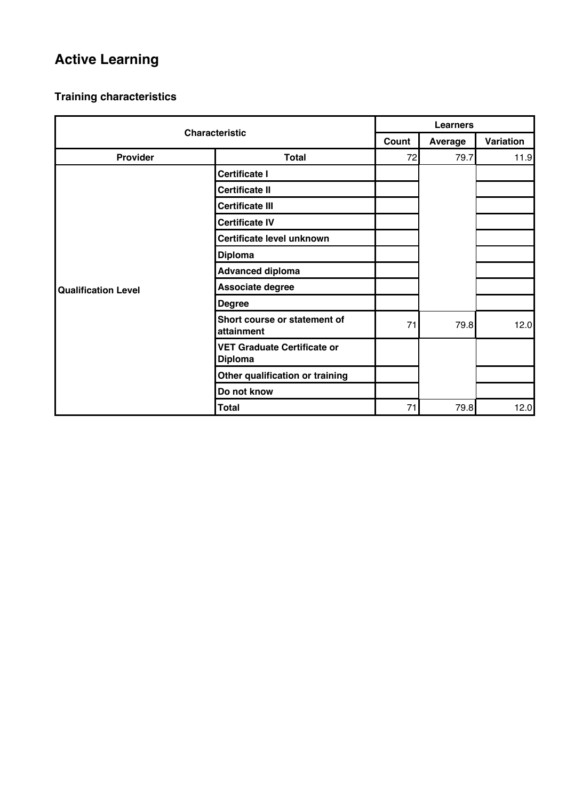# **Active Learning**

| <b>Characteristic</b>      |                                                      | <b>Learners</b> |                |           |  |
|----------------------------|------------------------------------------------------|-----------------|----------------|-----------|--|
|                            |                                                      | Count           | <b>Average</b> | Variation |  |
| <b>Provider</b>            | <b>Total</b>                                         | 72              | 79.7           | 11.9      |  |
|                            | <b>Certificate I</b>                                 |                 |                |           |  |
|                            | <b>Certificate II</b>                                |                 |                |           |  |
|                            | <b>Certificate III</b>                               |                 |                |           |  |
|                            | <b>Certificate IV</b>                                |                 |                |           |  |
|                            | Certificate level unknown                            |                 |                |           |  |
|                            | <b>Diploma</b>                                       |                 |                |           |  |
|                            | <b>Advanced diploma</b>                              |                 |                |           |  |
| <b>Qualification Level</b> | Associate degree                                     |                 |                |           |  |
|                            | <b>Degree</b>                                        |                 |                |           |  |
|                            | Short course or statement of<br>attainment           | 71              | 79.8           | 12.0      |  |
|                            | <b>VET Graduate Certificate or</b><br><b>Diploma</b> |                 |                |           |  |
|                            | Other qualification or training                      |                 |                |           |  |
|                            | Do not know                                          |                 |                |           |  |
|                            | <b>Total</b>                                         | 71              | 79.8           | 12.0      |  |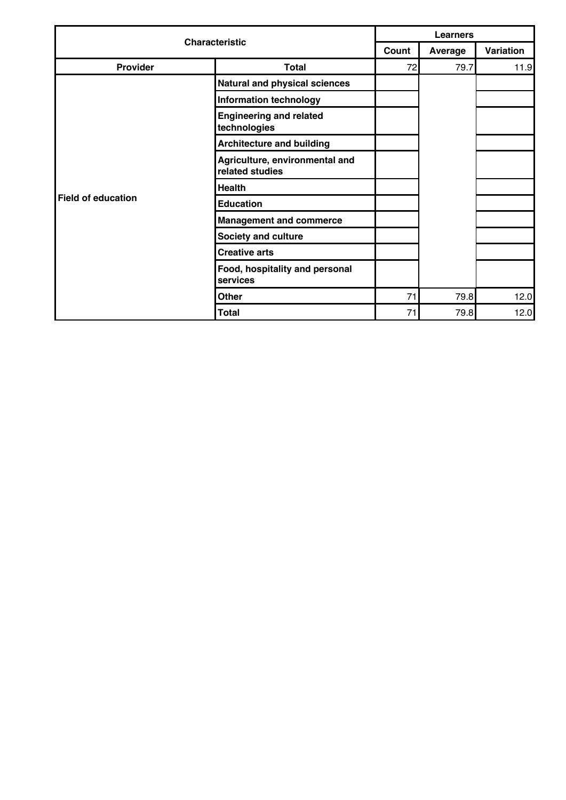| <b>Characteristic</b> |                                                   | <b>Learners</b> |         |           |  |
|-----------------------|---------------------------------------------------|-----------------|---------|-----------|--|
|                       |                                                   | Count           | Average | Variation |  |
| Provider              | <b>Total</b>                                      | 72              | 79.7    | 11.9      |  |
|                       | Natural and physical sciences                     |                 |         |           |  |
|                       | <b>Information technology</b>                     |                 |         |           |  |
|                       | <b>Engineering and related</b><br>technologies    |                 |         |           |  |
|                       | <b>Architecture and building</b>                  |                 |         |           |  |
|                       | Agriculture, environmental and<br>related studies |                 |         |           |  |
|                       | <b>Health</b>                                     |                 |         |           |  |
| Field of education    | <b>Education</b>                                  |                 |         |           |  |
|                       | <b>Management and commerce</b>                    |                 |         |           |  |
|                       | <b>Society and culture</b>                        |                 |         |           |  |
|                       | <b>Creative arts</b>                              |                 |         |           |  |
|                       | Food, hospitality and personal<br>services        |                 |         |           |  |
|                       | <b>Other</b>                                      | 71              | 79.8    | 12.0      |  |
|                       | <b>Total</b>                                      | 71              | 79.8    | 12.0      |  |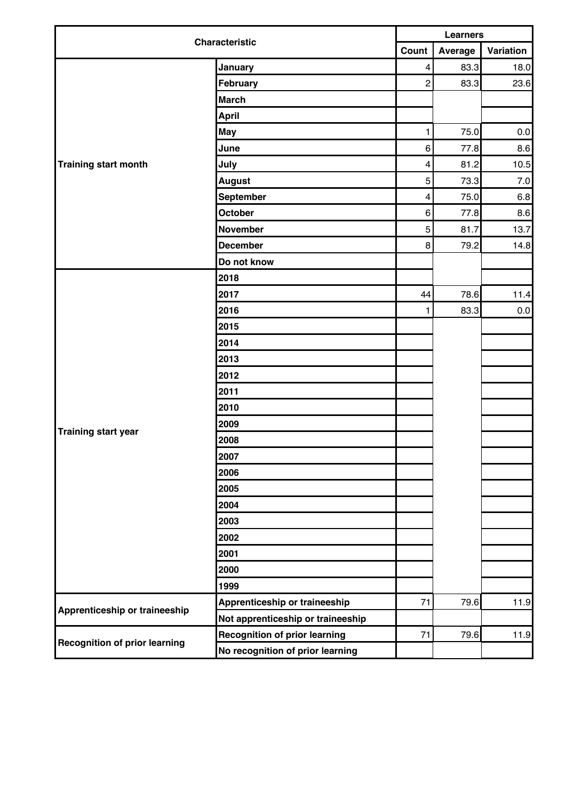| <b>Characteristic</b>                | <b>Learners</b>                      |                         |         |           |
|--------------------------------------|--------------------------------------|-------------------------|---------|-----------|
|                                      |                                      | Count                   | Average | Variation |
|                                      | January                              | $\overline{\mathbf{4}}$ | 83.3    | 18.0      |
|                                      | February                             | $\overline{c}$          | 83.3    | 23.6      |
|                                      | <b>March</b>                         |                         |         |           |
|                                      | <b>April</b>                         |                         |         |           |
|                                      | <b>May</b>                           | 1                       | 75.0    | $0.0\,$   |
|                                      | June                                 | 6                       | 77.8    | 8.6       |
| Training start month                 | July                                 | $\overline{\mathbf{4}}$ | 81.2    | 10.5      |
|                                      | <b>August</b>                        | 5                       | 73.3    | 7.0       |
|                                      | September                            | $\overline{\mathbf{4}}$ | 75.0    | 6.8       |
|                                      | October                              | 6                       | 77.8    | 8.6       |
|                                      | <b>November</b>                      | 5                       | 81.7    | 13.7      |
|                                      | <b>December</b>                      | 8                       | 79.2    | 14.8      |
|                                      | Do not know                          |                         |         |           |
|                                      | 2018                                 |                         |         |           |
|                                      | 2017                                 | 44                      | 78.6    | 11.4      |
|                                      | 2016                                 | 1                       | 83.3    | $0.0\,$   |
|                                      | 2015                                 |                         |         |           |
|                                      | 2014                                 |                         |         |           |
|                                      | 2013                                 |                         |         |           |
|                                      | 2012                                 |                         |         |           |
|                                      | 2011                                 |                         |         |           |
|                                      | 2010                                 |                         |         |           |
|                                      | 2009                                 |                         |         |           |
| <b>Training start year</b>           | 2008                                 |                         |         |           |
|                                      | 2007                                 |                         |         |           |
|                                      | 2006                                 |                         |         |           |
|                                      | 2005                                 |                         |         |           |
|                                      | 2004                                 |                         |         |           |
|                                      | 2003                                 |                         |         |           |
|                                      | 2002                                 |                         |         |           |
|                                      | 2001                                 |                         |         |           |
|                                      | 2000                                 |                         |         |           |
|                                      | 1999                                 |                         |         |           |
|                                      | Apprenticeship or traineeship        | 71                      | 79.6    | 11.9      |
| Apprenticeship or traineeship        | Not apprenticeship or traineeship    |                         |         |           |
|                                      | <b>Recognition of prior learning</b> | 71                      | 79.6    | 11.9      |
| <b>Recognition of prior learning</b> | No recognition of prior learning     |                         |         |           |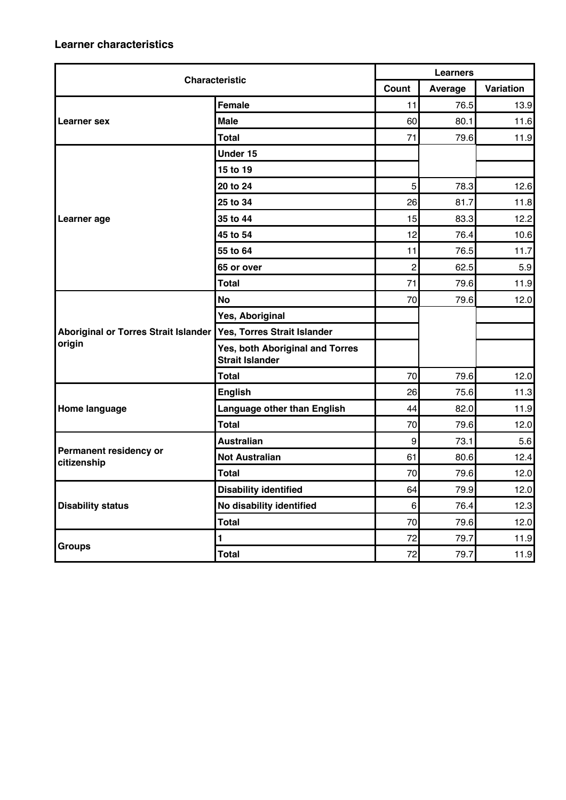| <b>Characteristic</b>                 |                                                           | <b>Learners</b>  |         |           |  |
|---------------------------------------|-----------------------------------------------------------|------------------|---------|-----------|--|
|                                       |                                                           | Count            | Average | Variation |  |
|                                       | Female                                                    | 11               | 76.5    | 13.9      |  |
| Learner sex                           | <b>Male</b>                                               | 60               | 80.1    | 11.6      |  |
|                                       | <b>Total</b>                                              | 71               | 79.6    | 11.9      |  |
|                                       | Under 15                                                  |                  |         |           |  |
|                                       | 15 to 19                                                  |                  |         |           |  |
|                                       | 20 to 24                                                  | 5                | 78.3    | 12.6      |  |
|                                       | 25 to 34                                                  | 26               | 81.7    | 11.8      |  |
| Learner age                           | 35 to 44                                                  | 15               | 83.3    | 12.2      |  |
|                                       | 45 to 54                                                  | 12               | 76.4    | 10.6      |  |
|                                       | 55 to 64                                                  | 11               | 76.5    | 11.7      |  |
|                                       | 65 or over                                                | $\overline{2}$   | 62.5    | 5.9       |  |
|                                       | <b>Total</b>                                              | 71               | 79.6    | 11.9      |  |
|                                       | <b>No</b>                                                 | 70               | 79.6    | 12.0      |  |
|                                       | Yes, Aboriginal                                           |                  |         |           |  |
| Aboriginal or Torres Strait Islander  | Yes, Torres Strait Islander                               |                  |         |           |  |
| origin                                | Yes, both Aboriginal and Torres<br><b>Strait Islander</b> |                  |         |           |  |
|                                       | Total                                                     | 70               | 79.6    | 12.0      |  |
|                                       | <b>English</b>                                            | 26               | 75.6    | 11.3      |  |
| Home language                         | Language other than English                               | 44               | 82.0    | 11.9      |  |
|                                       | <b>Total</b>                                              | 70               | 79.6    | 12.0      |  |
|                                       | <b>Australian</b>                                         | $\boldsymbol{9}$ | 73.1    | 5.6       |  |
| Permanent residency or<br>citizenship | <b>Not Australian</b>                                     | 61               | 80.6    | 12.4      |  |
|                                       | <b>Total</b>                                              | 70               | 79.6    | 12.0      |  |
|                                       | <b>Disability identified</b>                              | 64               | 79.9    | 12.0      |  |
| <b>Disability status</b>              | No disability identified                                  | 6 <sup>1</sup>   | 76.4    | 12.3      |  |
|                                       | <b>Total</b>                                              | 70               | 79.6    | 12.0      |  |
|                                       | $\blacksquare$                                            | 72               | 79.7    | 11.9      |  |
| <b>Groups</b>                         | <b>Total</b>                                              | 72               | 79.7    | 11.9      |  |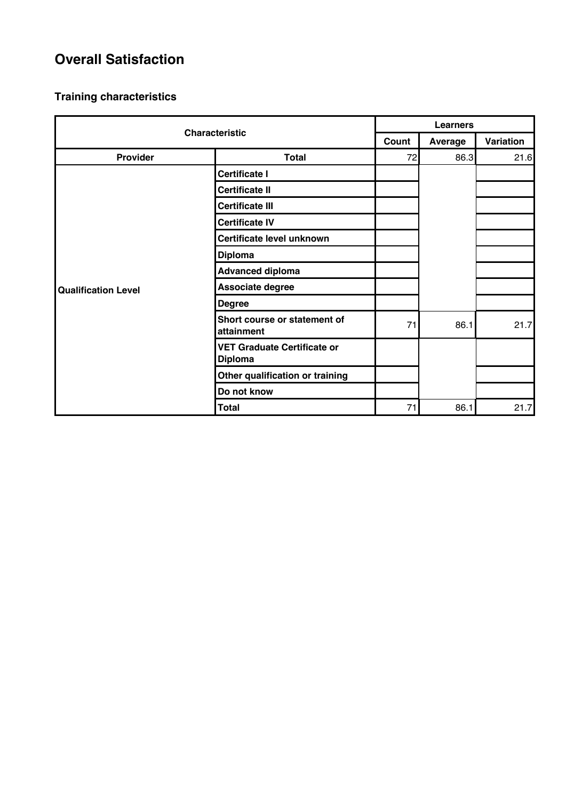## **Overall Satisfaction**

| <b>Characteristic</b>      |                                                      | <b>Learners</b> |                |           |  |
|----------------------------|------------------------------------------------------|-----------------|----------------|-----------|--|
|                            |                                                      | Count           | <b>Average</b> | Variation |  |
| Provider                   | <b>Total</b>                                         | 72              | 86.3           | 21.6      |  |
|                            | <b>Certificate I</b>                                 |                 |                |           |  |
|                            | <b>Certificate II</b>                                |                 |                |           |  |
|                            | <b>Certificate III</b>                               |                 |                |           |  |
|                            | <b>Certificate IV</b>                                |                 |                |           |  |
|                            | Certificate level unknown                            |                 |                |           |  |
|                            | <b>Diploma</b>                                       |                 |                |           |  |
|                            | <b>Advanced diploma</b>                              |                 |                |           |  |
| <b>Qualification Level</b> | Associate degree                                     |                 |                |           |  |
|                            | <b>Degree</b>                                        |                 |                |           |  |
|                            | Short course or statement of<br>attainment           | 71              | 86.1           | 21.7      |  |
|                            | <b>VET Graduate Certificate or</b><br><b>Diploma</b> |                 |                |           |  |
|                            | Other qualification or training                      |                 |                |           |  |
|                            | Do not know                                          |                 |                |           |  |
|                            | <b>Total</b>                                         | 71              | 86.1           | 21.7      |  |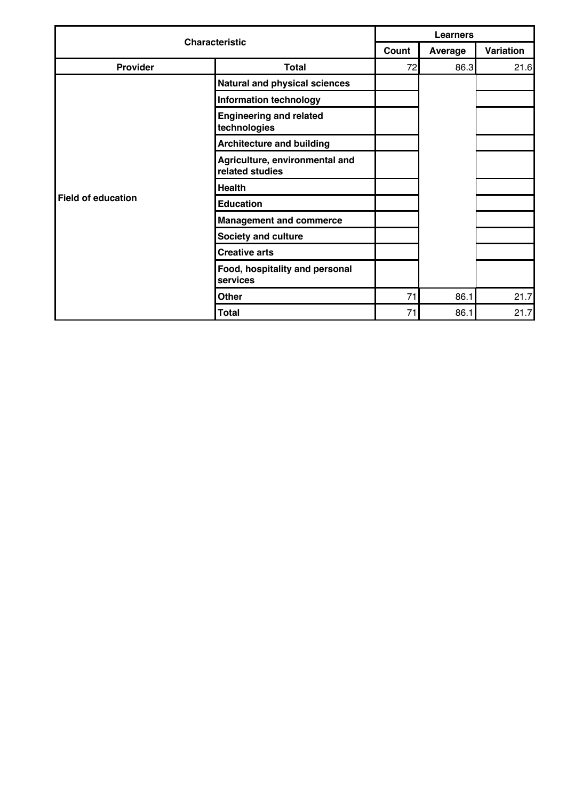| <b>Characteristic</b> |                                                   | <b>Learners</b> |         |           |  |
|-----------------------|---------------------------------------------------|-----------------|---------|-----------|--|
|                       |                                                   | Count           | Average | Variation |  |
| Provider              | <b>Total</b>                                      | 72              | 86.3    | 21.6      |  |
|                       | Natural and physical sciences                     |                 |         |           |  |
|                       | <b>Information technology</b>                     |                 |         |           |  |
|                       | <b>Engineering and related</b><br>technologies    |                 |         |           |  |
|                       | <b>Architecture and building</b>                  |                 |         |           |  |
|                       | Agriculture, environmental and<br>related studies |                 |         |           |  |
|                       | <b>Health</b>                                     |                 |         |           |  |
| Field of education    | <b>Education</b>                                  |                 |         |           |  |
|                       | <b>Management and commerce</b>                    |                 |         |           |  |
|                       | <b>Society and culture</b>                        |                 |         |           |  |
|                       | <b>Creative arts</b>                              |                 |         |           |  |
|                       | Food, hospitality and personal<br>services        |                 |         |           |  |
|                       | <b>Other</b>                                      | 71              | 86.1    | 21.7      |  |
|                       | <b>Total</b>                                      | 71              | 86.1    | 21.7      |  |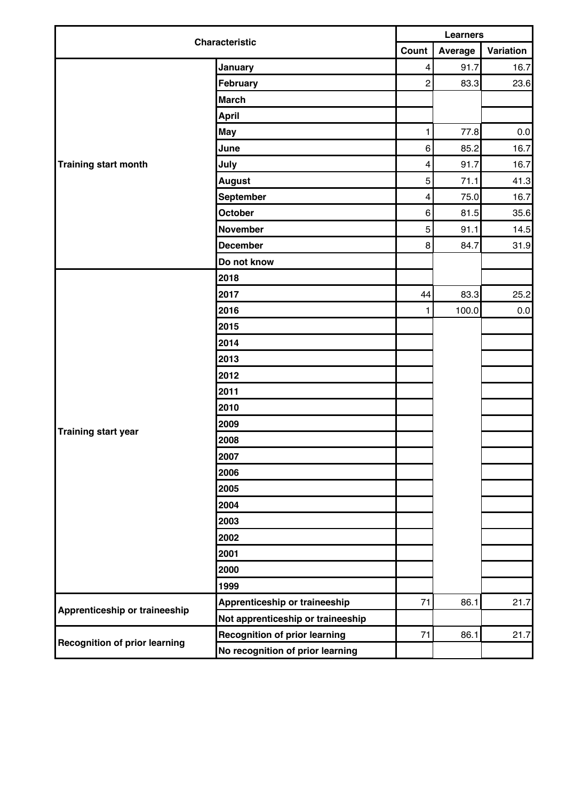| <b>Characteristic</b>                | <b>Learners</b>                      |                         |         |           |
|--------------------------------------|--------------------------------------|-------------------------|---------|-----------|
|                                      | Count                                |                         | Average | Variation |
|                                      | January                              | $\overline{\mathbf{4}}$ | 91.7    | 16.7      |
|                                      | February                             | $\overline{c}$          | 83.3    | 23.6      |
|                                      | <b>March</b>                         |                         |         |           |
|                                      | <b>April</b>                         |                         |         |           |
|                                      | <b>May</b>                           | 1                       | 77.8    | $0.0\,$   |
|                                      | June                                 | 6                       | 85.2    | 16.7      |
| <b>Training start month</b>          | July                                 | $\overline{\mathbf{4}}$ | 91.7    | 16.7      |
|                                      | <b>August</b>                        | 5                       | 71.1    | 41.3      |
|                                      | September                            | $\overline{\mathbf{4}}$ | 75.0    | 16.7      |
|                                      | October                              | 6                       | 81.5    | 35.6      |
|                                      | <b>November</b>                      | 5                       | 91.1    | 14.5      |
|                                      | <b>December</b>                      | 8                       | 84.7    | 31.9      |
|                                      | Do not know                          |                         |         |           |
|                                      | 2018                                 |                         |         |           |
|                                      | 2017                                 | 44                      | 83.3    | 25.2      |
|                                      | 2016                                 | 1                       | 100.0   | 0.0       |
|                                      | 2015                                 |                         |         |           |
|                                      | 2014                                 |                         |         |           |
|                                      | 2013                                 |                         |         |           |
|                                      | 2012                                 |                         |         |           |
|                                      | 2011                                 |                         |         |           |
|                                      | 2010                                 |                         |         |           |
|                                      | 2009                                 |                         |         |           |
| <b>Training start year</b>           | 2008                                 |                         |         |           |
|                                      | 2007                                 |                         |         |           |
|                                      | 2006                                 |                         |         |           |
|                                      | 2005                                 |                         |         |           |
|                                      | 2004                                 |                         |         |           |
|                                      | 2003                                 |                         |         |           |
|                                      | 2002                                 |                         |         |           |
|                                      | 2001                                 |                         |         |           |
|                                      | 2000                                 |                         |         |           |
|                                      | 1999                                 |                         |         |           |
|                                      | Apprenticeship or traineeship        | 71                      | 86.1    | 21.7      |
| Apprenticeship or traineeship        | Not apprenticeship or traineeship    |                         |         |           |
|                                      | <b>Recognition of prior learning</b> | 71                      | 86.1    | 21.7      |
| <b>Recognition of prior learning</b> | No recognition of prior learning     |                         |         |           |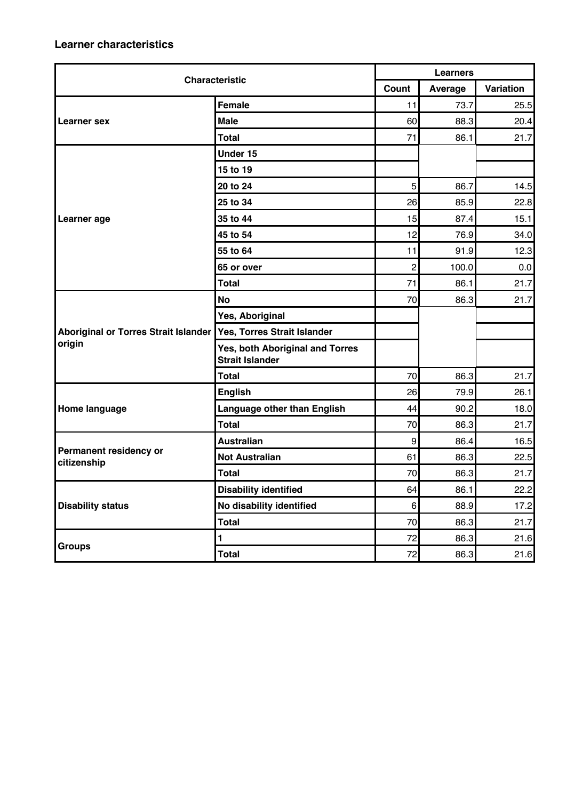| <b>Characteristic</b>                       |                                                           | <b>Learners</b>  |         |           |  |
|---------------------------------------------|-----------------------------------------------------------|------------------|---------|-----------|--|
|                                             |                                                           | Count            | Average | Variation |  |
|                                             | <b>Female</b>                                             | 11               | 73.7    | 25.5      |  |
| Learner sex                                 | <b>Male</b>                                               | 60               | 88.3    | 20.4      |  |
|                                             | <b>Total</b>                                              | 71               | 86.1    | 21.7      |  |
|                                             | Under 15                                                  |                  |         |           |  |
|                                             | 15 to 19                                                  |                  |         |           |  |
|                                             | 20 to 24                                                  | 5                | 86.7    | 14.5      |  |
|                                             | 25 to 34                                                  | 26               | 85.9    | 22.8      |  |
| Learner age                                 | 35 to 44                                                  | 15               | 87.4    | 15.1      |  |
|                                             | 45 to 54                                                  | 12               | 76.9    | 34.0      |  |
|                                             | 55 to 64                                                  | 11               | 91.9    | 12.3      |  |
|                                             | 65 or over                                                | $\overline{2}$   | 100.0   | 0.0       |  |
|                                             | <b>Total</b>                                              | 71               | 86.1    | 21.7      |  |
|                                             | <b>No</b>                                                 | 70               | 86.3    | 21.7      |  |
|                                             | Yes, Aboriginal                                           |                  |         |           |  |
| <b>Aboriginal or Torres Strait Islander</b> | Yes, Torres Strait Islander                               |                  |         |           |  |
| origin                                      | Yes, both Aboriginal and Torres<br><b>Strait Islander</b> |                  |         |           |  |
|                                             | <b>Total</b>                                              | 70               | 86.3    | 21.7      |  |
|                                             | <b>English</b>                                            | 26               | 79.9    | 26.1      |  |
| Home language                               | Language other than English                               | 44               | 90.2    | 18.0      |  |
|                                             | <b>Total</b>                                              | 70               | 86.3    | 21.7      |  |
|                                             | <b>Australian</b>                                         | $\boldsymbol{9}$ | 86.4    | 16.5      |  |
| Permanent residency or<br>citizenship       | <b>Not Australian</b>                                     | 61               | 86.3    | 22.5      |  |
|                                             | <b>Total</b>                                              | 70               | 86.3    | 21.7      |  |
|                                             | <b>Disability identified</b>                              | 64               | 86.1    | 22.2      |  |
| <b>Disability status</b>                    | No disability identified                                  | 6                | 88.9    | 17.2      |  |
|                                             | <b>Total</b>                                              | 70               | 86.3    | 21.7      |  |
|                                             | 1                                                         | 72               | 86.3    | 21.6      |  |
| <b>Groups</b>                               | <b>Total</b>                                              | 72               | 86.3    | 21.6      |  |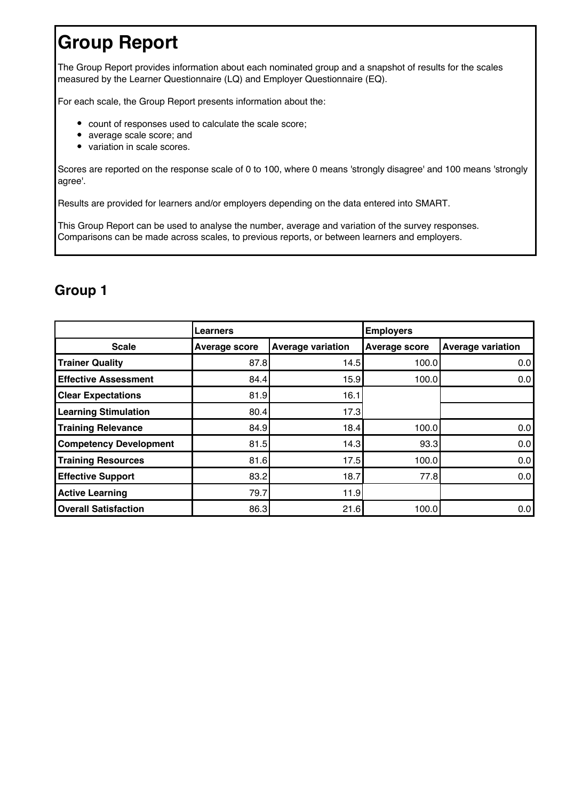# **Group Report**

The Group Report provides information about each nominated group and a snapshot of results for the scales measured by the Learner Questionnaire (LQ) and Employer Questionnaire (EQ).

For each scale, the Group Report presents information about the:

- count of responses used to calculate the scale score;
- average scale score; and
- variation in scale scores.

Scores are reported on the response scale of 0 to 100, where 0 means 'strongly disagree' and 100 means 'strongly agree'.

Results are provided for learners and/or employers depending on the data entered into SMART.

This Group Report can be used to analyse the number, average and variation of the survey responses. Comparisons can be made across scales, to previous reports, or between learners and employers.

## **Group 1**

|                               | Learners             |                          | <b>Employers</b>     |                          |  |
|-------------------------------|----------------------|--------------------------|----------------------|--------------------------|--|
| <b>Scale</b>                  | <b>Average score</b> | <b>Average variation</b> | <b>Average score</b> | <b>Average variation</b> |  |
| <b>Trainer Quality</b>        | 87.8                 | 14.5                     | 100.0                | 0.01                     |  |
| <b>Effective Assessment</b>   | 84.4                 | 15.9                     | 100.0                | 0.0                      |  |
| <b>Clear Expectations</b>     | 81.9                 | 16.1                     |                      |                          |  |
| <b>Learning Stimulation</b>   | 80.4                 | 17.3                     |                      |                          |  |
| <b>Training Relevance</b>     | 84.9                 | 18.4                     | 100.0                | 0.0                      |  |
| <b>Competency Development</b> | 81.5                 | 14.3I                    | 93.3                 | 0.0                      |  |
| <b>Training Resources</b>     | 81.6                 | 17.5                     | 100.0                | 0.0                      |  |
| <b>Effective Support</b>      | 83.2                 | 18.7                     | 77.8                 | 0.0                      |  |
| <b>Active Learning</b>        | 79.7                 | 11.9                     |                      |                          |  |
| <b>Overall Satisfaction</b>   | 86.3                 | 21.6                     | 100.0                | 0.0                      |  |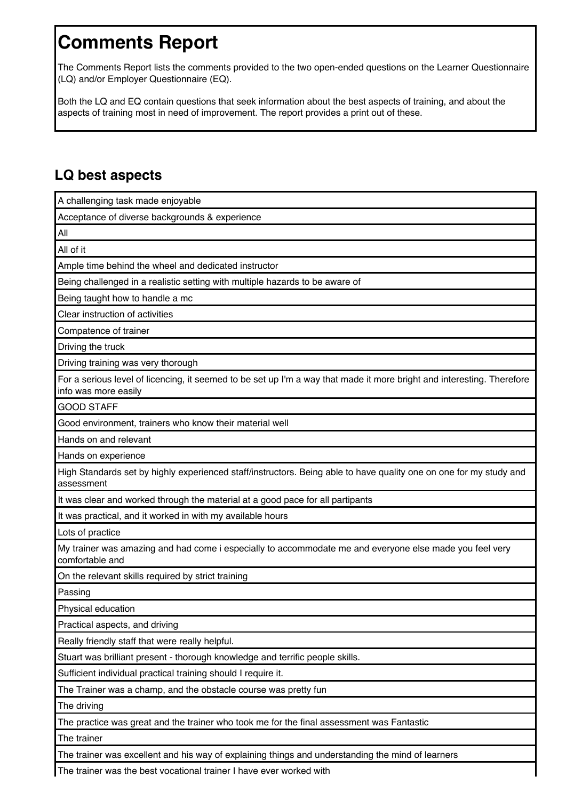# **Comments Report**

The Comments Report lists the comments provided to the two open-ended questions on the Learner Questionnaire (LQ) and/or Employer Questionnaire (EQ).

Both the LQ and EQ contain questions that seek information about the best aspects of training, and about the aspects of training most in need of improvement. The report provides a print out of these.

## **LQ best aspects**

| A challenging task made enjoyable                                                                                                              |
|------------------------------------------------------------------------------------------------------------------------------------------------|
| Acceptance of diverse backgrounds & experience                                                                                                 |
| All                                                                                                                                            |
| All of it                                                                                                                                      |
| Ample time behind the wheel and dedicated instructor                                                                                           |
| Being challenged in a realistic setting with multiple hazards to be aware of                                                                   |
| Being taught how to handle a mc                                                                                                                |
| Clear instruction of activities                                                                                                                |
| Compatence of trainer                                                                                                                          |
| Driving the truck                                                                                                                              |
| Driving training was very thorough                                                                                                             |
| For a serious level of licencing, it seemed to be set up I'm a way that made it more bright and interesting. Therefore<br>info was more easily |
| <b>GOOD STAFF</b>                                                                                                                              |
| Good environment, trainers who know their material well                                                                                        |
| Hands on and relevant                                                                                                                          |
| Hands on experience                                                                                                                            |
| High Standards set by highly experienced staff/instructors. Being able to have quality one on one for my study and<br>assessment               |
| It was clear and worked through the material at a good pace for all partipants                                                                 |
| It was practical, and it worked in with my available hours                                                                                     |
| Lots of practice                                                                                                                               |
| My trainer was amazing and had come i especially to accommodate me and everyone else made you feel very<br>comfortable and                     |
| On the relevant skills required by strict training                                                                                             |
| Passing                                                                                                                                        |
| Physical education                                                                                                                             |
| Practical aspects, and driving                                                                                                                 |
| Really friendly staff that were really helpful.                                                                                                |
| Stuart was brilliant present - thorough knowledge and terrific people skills.                                                                  |
| Sufficient individual practical training should I require it.                                                                                  |
| The Trainer was a champ, and the obstacle course was pretty fun                                                                                |
| The driving                                                                                                                                    |
| The practice was great and the trainer who took me for the final assessment was Fantastic                                                      |
| The trainer                                                                                                                                    |
| The trainer was excellent and his way of explaining things and understanding the mind of learners                                              |

The trainer was the best vocational trainer I have ever worked with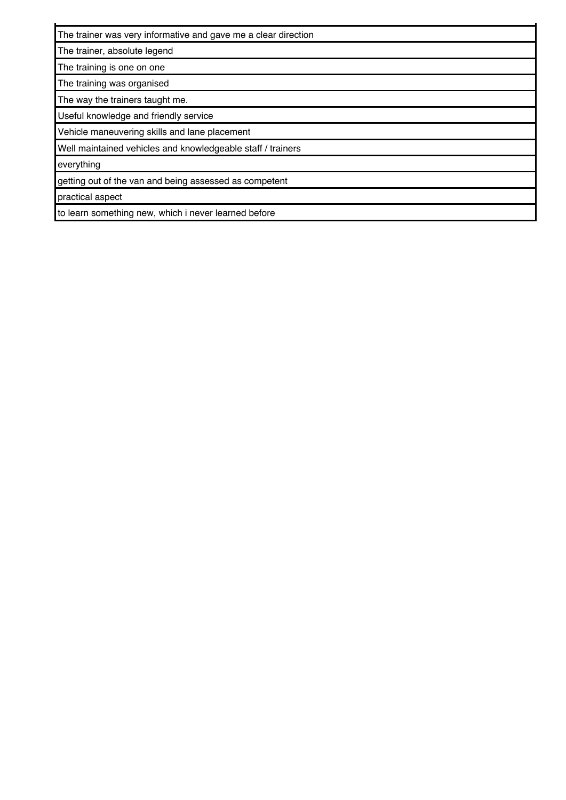The trainer was very informative and gave me a clear direction

The trainer, absolute legend

The training is one on one

The training was organised

The way the trainers taught me.

Useful knowledge and friendly service

Vehicle maneuvering skills and lane placement

Well maintained vehicles and knowledgeable staff / trainers

everything

getting out of the van and being assessed as competent

practical aspect

to learn something new, which i never learned before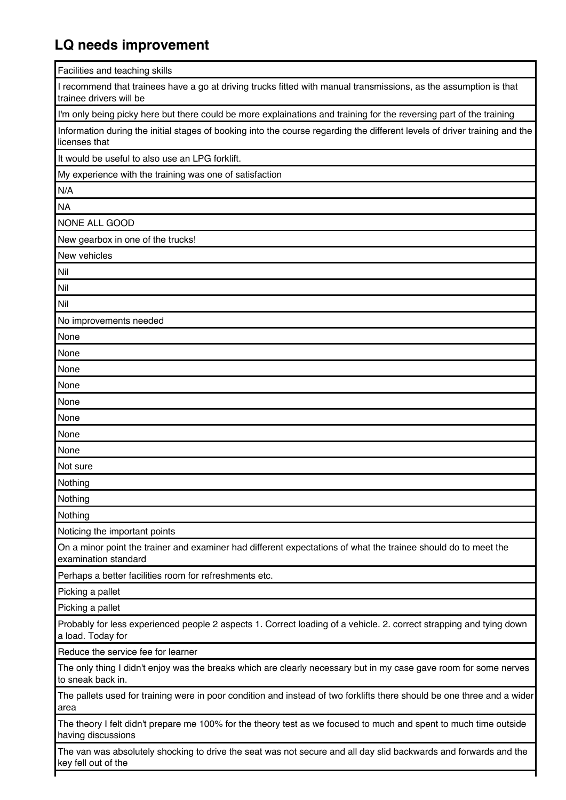## **LQ needs improvement**

Facilities and teaching skills

I recommend that trainees have a go at driving trucks fitted with manual transmissions, as the assumption is that trainee drivers will be

I'm only being picky here but there could be more explainations and training for the reversing part of the training

Information during the initial stages of booking into the course regarding the different levels of driver training and the licenses that

It would be useful to also use an LPG forklift.

My experience with the training was one of satisfaction

N/A

**NA** 

NONE ALL GOOD

New gearbox in one of the trucks!

New vehicles

Nil Nil

Nil

No improvements needed

None None None None None None None None Not sure

Nothing Nothing

Nothing

Noticing the important points

On a minor point the trainer and examiner had different expectations of what the trainee should do to meet the examination standard

Perhaps a better facilities room for refreshments etc.

Picking a pallet

Picking a pallet

Probably for less experienced people 2 aspects 1. Correct loading of a vehicle. 2. correct strapping and tying down a load. Today for

Reduce the service fee for learner

The only thing I didn't enjoy was the breaks which are clearly necessary but in my case gave room for some nerves to sneak back in.

The pallets used for training were in poor condition and instead of two forklifts there should be one three and a wider area

The theory I felt didn't prepare me 100% for the theory test as we focused to much and spent to much time outside having discussions

The van was absolutely shocking to drive the seat was not secure and all day slid backwards and forwards and the key fell out of the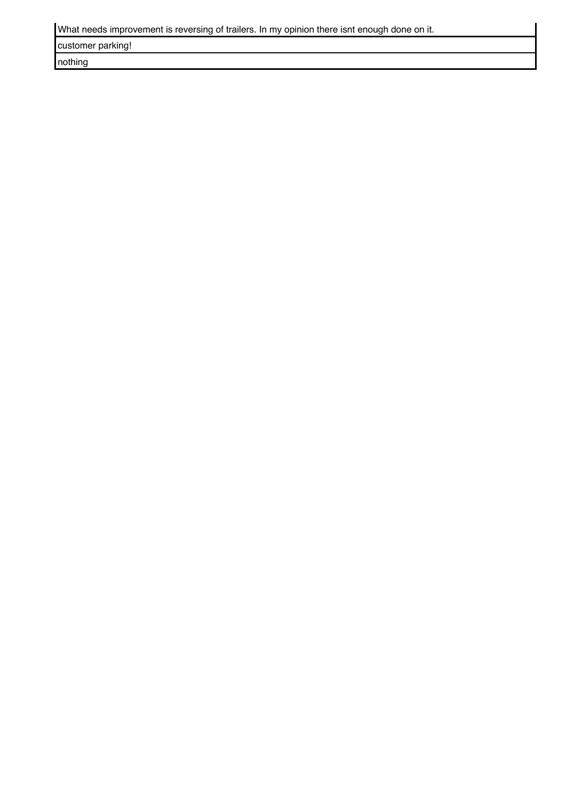| What needs improvement is reversing of trailers. In my opinion there isnt enough done on it. |  |  |
|----------------------------------------------------------------------------------------------|--|--|
|                                                                                              |  |  |

customer parking!

nothing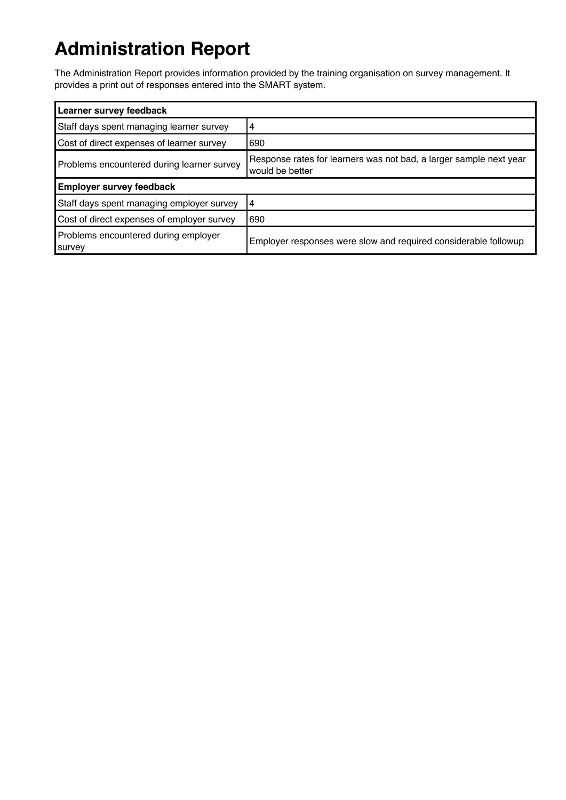# **Administration Report**

The Administration Report provides information provided by the training organisation on survey management. It provides a print out of responses entered into the SMART system.

| Learner survey feedback                        |                                                                                       |
|------------------------------------------------|---------------------------------------------------------------------------------------|
| Staff days spent managing learner survey       | 14                                                                                    |
| Cost of direct expenses of learner survey      | 1690                                                                                  |
| Problems encountered during learner survey     | Response rates for learners was not bad, a larger sample next year<br>would be better |
| <b>Employer survey feedback</b>                |                                                                                       |
| Staff days spent managing employer survey      | 14                                                                                    |
| Cost of direct expenses of employer survey     | 1690                                                                                  |
| Problems encountered during employer<br>survey | Employer responses were slow and required considerable followup                       |